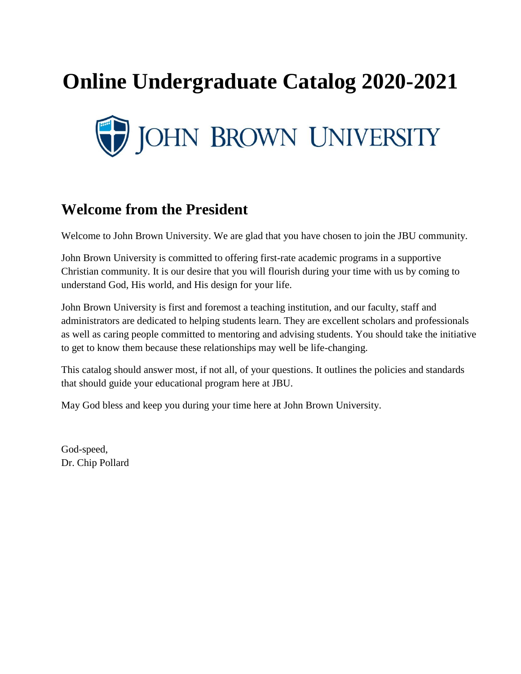# **Online Undergraduate Catalog 2020-2021**



# **Welcome from the President**

Welcome to John Brown University. We are glad that you have chosen to join the JBU community.

John Brown University is committed to offering first-rate academic programs in a supportive Christian community. It is our desire that you will flourish during your time with us by coming to understand God, His world, and His design for your life.

John Brown University is first and foremost a teaching institution, and our faculty, staff and administrators are dedicated to helping students learn. They are excellent scholars and professionals as well as caring people committed to mentoring and advising students. You should take the initiative to get to know them because these relationships may well be life-changing.

This catalog should answer most, if not all, of your questions. It outlines the policies and standards that should guide your educational program here at JBU.

May God bless and keep you during your time here at John Brown University.

God-speed, Dr. Chip Pollard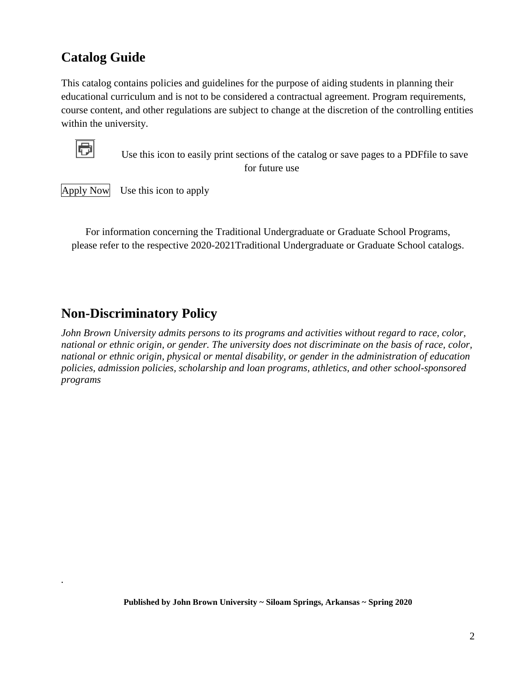# **Catalog Guide**

This catalog contains policies and guidelines for the purpose of aiding students in planning their educational curriculum and is not to be considered a contractual agreement. Program requirements, course content, and other regulations are subject to change at the discretion of the controlling entities within the university.



*.*

 Use this icon to easily print sections of the catalog or save pages to a PDFfile to save for future use

Apply Now Use this icon to apply

For information concerning the Traditional Undergraduate or Graduate School Programs, please refer to the respective 2020-2021Traditional Undergraduate or Graduate School catalogs.

# **Non-Discriminatory Policy**

*John Brown University admits persons to its programs and activities without regard to race, color, national or ethnic origin, or gender. The university does not discriminate on the basis of race, color, national or ethnic origin, physical or mental disability, or gender in the administration of education policies, admission policies, scholarship and loan programs, athletics, and other school-sponsored programs*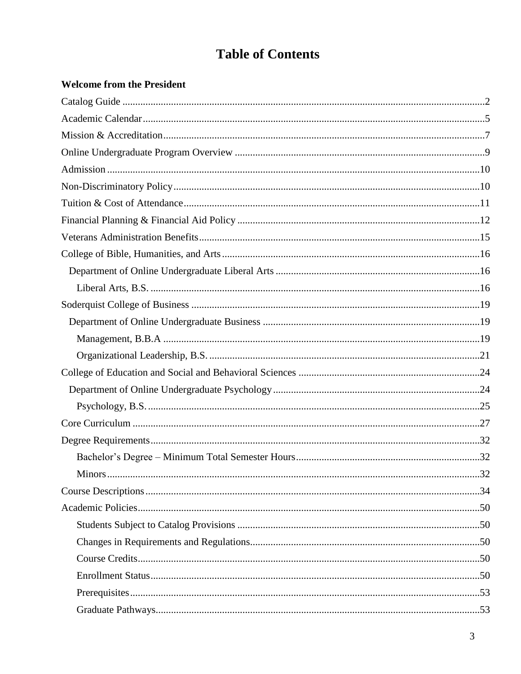# **Table of Contents**

### **Welcome from the President**

| <b>Minors</b> | 32 |
|---------------|----|
|               |    |
|               |    |
|               |    |
|               |    |
|               |    |
|               |    |
|               |    |
|               |    |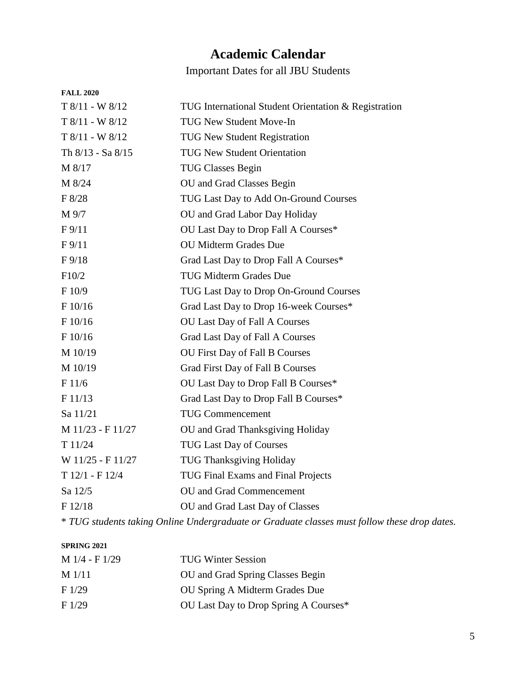# **Academic Calendar**

Important Dates for all JBU Students

| <b>FALL 2020</b>  |                                                                                              |
|-------------------|----------------------------------------------------------------------------------------------|
| $T8/11 - W8/12$   | TUG International Student Orientation & Registration                                         |
| $T 8/11 - W 8/12$ | TUG New Student Move-In                                                                      |
| $T 8/11 - W 8/12$ | TUG New Student Registration                                                                 |
| Th 8/13 - Sa 8/15 | <b>TUG New Student Orientation</b>                                                           |
| M 8/17            | <b>TUG Classes Begin</b>                                                                     |
| M 8/24            | OU and Grad Classes Begin                                                                    |
| F 8/28            | TUG Last Day to Add On-Ground Courses                                                        |
| M 9/7             | OU and Grad Labor Day Holiday                                                                |
| F <sub>9/11</sub> | OU Last Day to Drop Fall A Courses*                                                          |
| F9/11             | <b>OU Midterm Grades Due</b>                                                                 |
| $F\frac{9}{18}$   | Grad Last Day to Drop Fall A Courses*                                                        |
| F10/2             | <b>TUG Midterm Grades Due</b>                                                                |
| F 10/9            | TUG Last Day to Drop On-Ground Courses                                                       |
| F 10/16           | Grad Last Day to Drop 16-week Courses*                                                       |
| F 10/16           | OU Last Day of Fall A Courses                                                                |
| F 10/16           | Grad Last Day of Fall A Courses                                                              |
| M 10/19           | OU First Day of Fall B Courses                                                               |
| M 10/19           | Grad First Day of Fall B Courses                                                             |
| F 11/6            | OU Last Day to Drop Fall B Courses*                                                          |
| F11/13            | Grad Last Day to Drop Fall B Courses*                                                        |
| Sa 11/21          | <b>TUG Commencement</b>                                                                      |
| M 11/23 - F 11/27 | OU and Grad Thanksgiving Holiday                                                             |
| T 11/24           | <b>TUG Last Day of Courses</b>                                                               |
| W 11/25 - F 11/27 | <b>TUG Thanksgiving Holiday</b>                                                              |
| T 12/1 - F 12/4   | TUG Final Exams and Final Projects                                                           |
| Sa 12/5           | OU and Grad Commencement                                                                     |
| F 12/18           | OU and Grad Last Day of Classes                                                              |
|                   | * TUG students taking Online Undergraduate or Graduate classes must follow these drop dates. |

#### **SPRING 2021**

| $M$ 1/4 - F 1/29 | <b>TUG Winter Session</b>             |
|------------------|---------------------------------------|
| $M$ 1/11         | OU and Grad Spring Classes Begin      |
| F1/29            | OU Spring A Midterm Grades Due        |
| F1/29            | OU Last Day to Drop Spring A Courses* |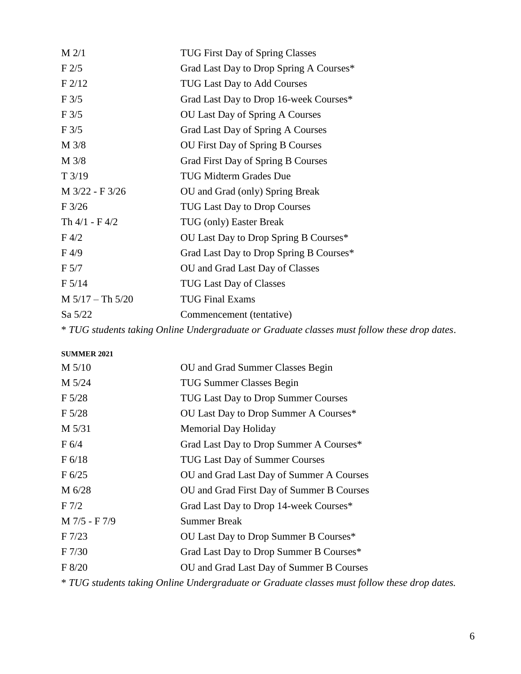| $M$ 2/1            | <b>TUG First Day of Spring Classes</b>                                                       |
|--------------------|----------------------------------------------------------------------------------------------|
| F2/5               | Grad Last Day to Drop Spring A Courses*                                                      |
| F2/12              | TUG Last Day to Add Courses                                                                  |
| F3/5               | Grad Last Day to Drop 16-week Courses*                                                       |
| $F\frac{3}{5}$     | <b>OU Last Day of Spring A Courses</b>                                                       |
| $F\frac{3}{5}$     | Grad Last Day of Spring A Courses                                                            |
| M 3/8              | <b>OU First Day of Spring B Courses</b>                                                      |
| M 3/8              | Grad First Day of Spring B Courses                                                           |
| T3/19              | <b>TUG Midterm Grades Due</b>                                                                |
| M 3/22 - F 3/26    | OU and Grad (only) Spring Break                                                              |
| F3/26              | <b>TUG Last Day to Drop Courses</b>                                                          |
| Th $4/1 - F 4/2$   | TUG (only) Easter Break                                                                      |
| F 4/2              | OU Last Day to Drop Spring B Courses*                                                        |
| F <sub>4/9</sub>   | Grad Last Day to Drop Spring B Courses*                                                      |
| F 5/7              | OU and Grad Last Day of Classes                                                              |
| F 5/14             | <b>TUG Last Day of Classes</b>                                                               |
| $M 5/17 - Th 5/20$ | <b>TUG Final Exams</b>                                                                       |
| Sa 5/22            | Commencement (tentative)                                                                     |
|                    | * TUG students taking Online Undergraduate or Graduate classes must follow these drop dates. |

**SUMMER 2021** M 5/10 OU and Grad Summer Classes Begin M 5/24 TUG Summer Classes Begin F 5/28 TUG Last Day to Drop Summer Courses F 5/28 OU Last Day to Drop Summer A Courses\* M 5/31 Memorial Day Holiday F 6/4 Grad Last Day to Drop Summer A Courses\* F 6/18 TUG Last Day of Summer Courses F 6/25 OU and Grad Last Day of Summer A Courses M 6/28 OU and Grad First Day of Summer B Courses F 7/2 Grad Last Day to Drop 14-week Courses\* M 7/5 - F 7/9 Summer Break F 7/23 OU Last Day to Drop Summer B Courses\* F 7/30 Grad Last Day to Drop Summer B Courses\* F 8/20 OU and Grad Last Day of Summer B Courses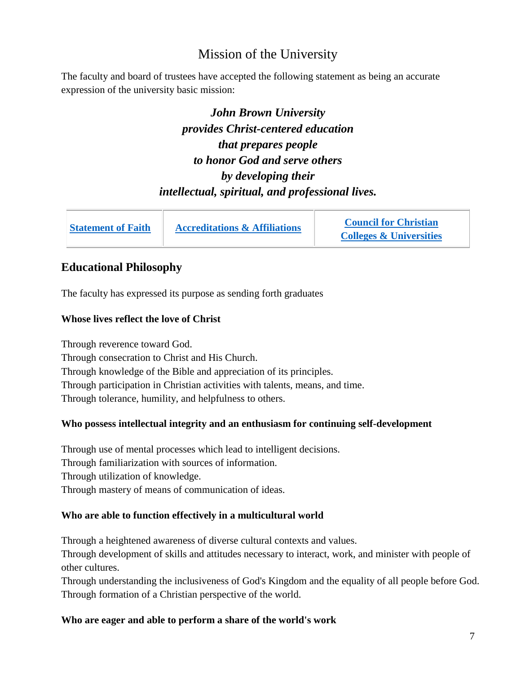# Mission of the University

The faculty and board of trustees have accepted the following statement as being an accurate expression of the university basic mission:

> *John Brown University provides Christ-centered education that prepares people to honor God and serve others by developing their intellectual, spiritual, and professional lives.*

| <b>Statement of Faith</b> | <b>Accreditations &amp; Affiliations</b> | <b>Council for Christian</b>       |
|---------------------------|------------------------------------------|------------------------------------|
|                           |                                          | <b>Colleges &amp; Universities</b> |

### **Educational Philosophy**

The faculty has expressed its purpose as sending forth graduates

#### **Whose lives reflect the love of Christ**

Through reverence toward God. Through consecration to Christ and His Church. Through knowledge of the Bible and appreciation of its principles. Through participation in Christian activities with talents, means, and time. Through tolerance, humility, and helpfulness to others.

### **Who possess intellectual integrity and an enthusiasm for continuing self-development**

Through use of mental processes which lead to intelligent decisions. Through familiarization with sources of information. Through utilization of knowledge. Through mastery of means of communication of ideas.

### **Who are able to function effectively in a multicultural world**

Through a heightened awareness of diverse cultural contexts and values.

Through development of skills and attitudes necessary to interact, work, and minister with people of other cultures.

Through understanding the inclusiveness of God's Kingdom and the equality of all people before God. Through formation of a Christian perspective of the world.

### **Who are eager and able to perform a share of the world's work**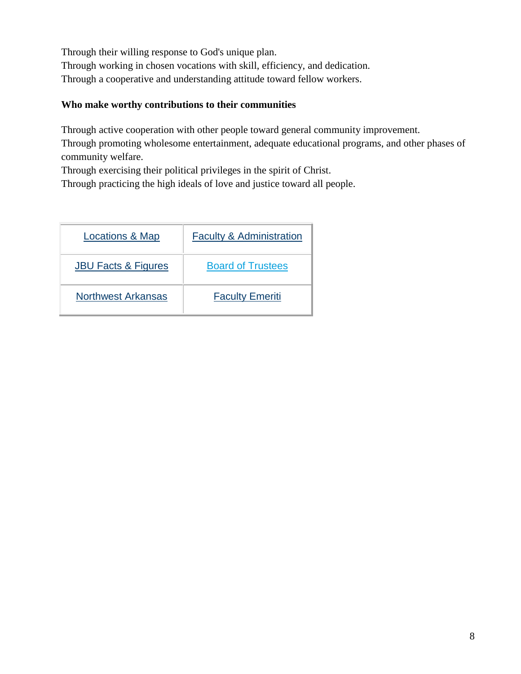Through their willing response to God's unique plan. Through working in chosen vocations with skill, efficiency, and dedication. Through a cooperative and understanding attitude toward fellow workers.

### **Who make worthy contributions to their communities**

Through active cooperation with other people toward general community improvement.

Through promoting wholesome entertainment, adequate educational programs, and other phases of community welfare.

Through exercising their political privileges in the spirit of Christ.

Through practicing the high ideals of love and justice toward all people.

| Locations & Map                | <b>Faculty &amp; Administration</b> |
|--------------------------------|-------------------------------------|
| <b>JBU Facts &amp; Figures</b> | <b>Board of Trustees</b>            |
| <b>Northwest Arkansas</b>      | <b>Faculty Emeriti</b>              |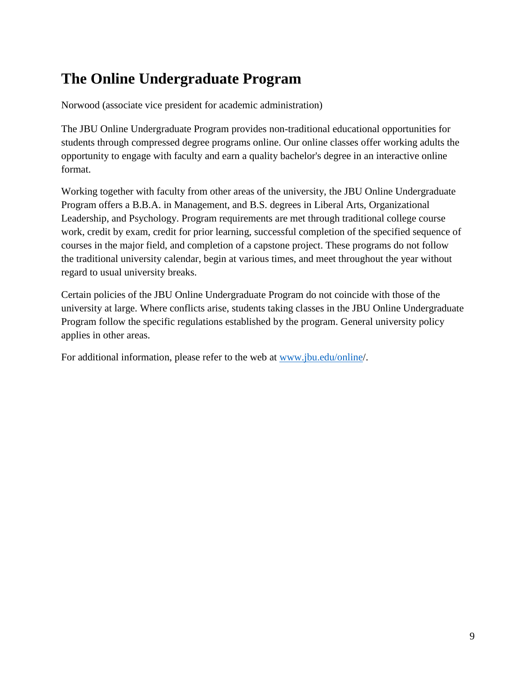# **The Online Undergraduate Program**

Norwood (associate vice president for academic administration)

The JBU Online Undergraduate Program provides non-traditional educational opportunities for students through compressed degree programs online. Our online classes offer working adults the opportunity to engage with faculty and earn a quality bachelor's degree in an interactive online format.

Working together with faculty from other areas of the university, the JBU Online Undergraduate Program offers a B.B.A. in Management, and B.S. degrees in Liberal Arts, Organizational Leadership, and Psychology. Program requirements are met through traditional college course work, credit by exam, credit for prior learning, successful completion of the specified sequence of courses in the major field, and completion of a capstone project. These programs do not follow the traditional university calendar, begin at various times, and meet throughout the year without regard to usual university breaks.

Certain policies of the JBU Online Undergraduate Program do not coincide with those of the university at large. Where conflicts arise, students taking classes in the JBU Online Undergraduate Program follow the specific regulations established by the program. General university policy applies in other areas.

For additional information, please refer to the web at [www.jbu.edu/online/](https://www.jbu.edu/online/).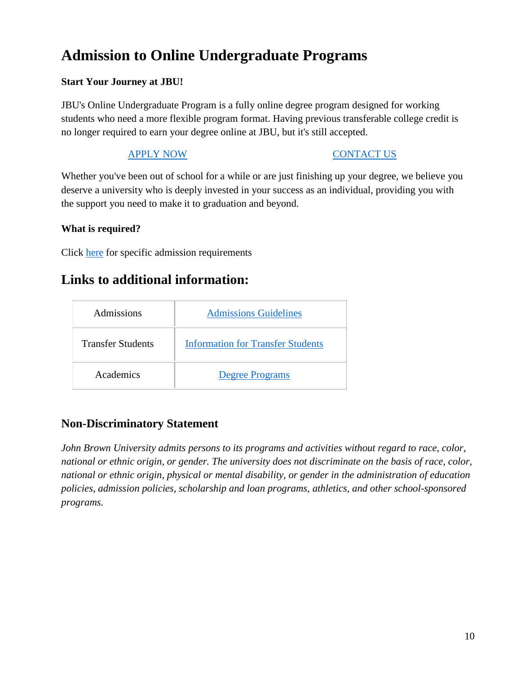# **Admission to Online Undergraduate Programs**

### **Start Your Journey at JBU!**

JBU's Online Undergraduate Program is a fully online degree program designed for working students who need a more flexible program format. Having previous transferable college credit is no longer required to earn your degree online at JBU, but it's still accepted.

### **[APPLY NOW](https://www.jbu.edu/admissions/application/?r=/apply/) [CONTACT US](https://www.jbu.edu/online/request-info/)**

Whether you've been out of school for a while or are just finishing up your degree, we believe you deserve a university who is deeply invested in your success as an individual, providing you with the support you need to make it to graduation and beyond.

### **What is required?**

Click [here](http://www.jbu.edu/online/admissions/) for specific admission requirements

# **Links to additional information:**

| <b>Admissions</b>        | <b>Admissions Guidelines</b>             |
|--------------------------|------------------------------------------|
| <b>Transfer Students</b> | <b>Information for Transfer Students</b> |
| Academics                | <b>Degree Programs</b>                   |

## **Non-Discriminatory Statement**

*John Brown University admits persons to its programs and activities without regard to race, color, national or ethnic origin, or gender. The university does not discriminate on the basis of race, color, national or ethnic origin, physical or mental disability, or gender in the administration of education policies, admission policies, scholarship and loan programs, athletics, and other school-sponsored programs.*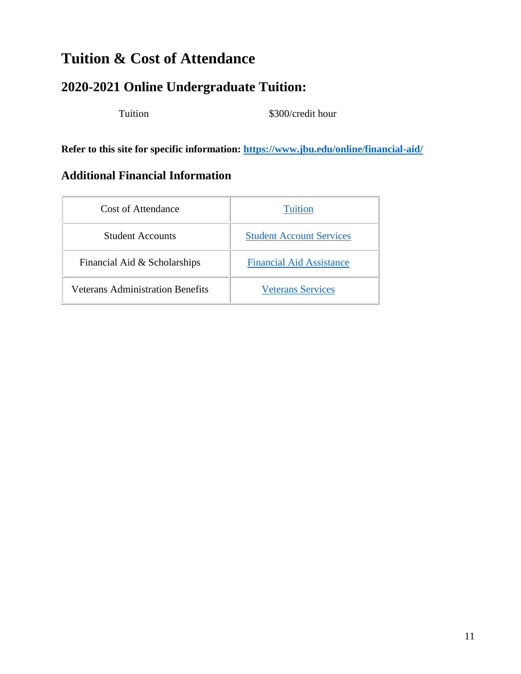# **Tuition & Cost of Attendance**

# **2020-2021 Online Undergraduate Tuition:**

Tuition \$300/credit hour

**Refer to this site for specific information:<https://www.jbu.edu/online/financial-aid/>**

# **Additional Financial Information**

| Cost of Attendance               | <b>Tuition</b>                  |
|----------------------------------|---------------------------------|
| <b>Student Accounts</b>          | <b>Student Account Services</b> |
| Financial Aid & Scholarships     | <b>Financial Aid Assistance</b> |
| Veterans Administration Benefits | <b>Veterans Services</b>        |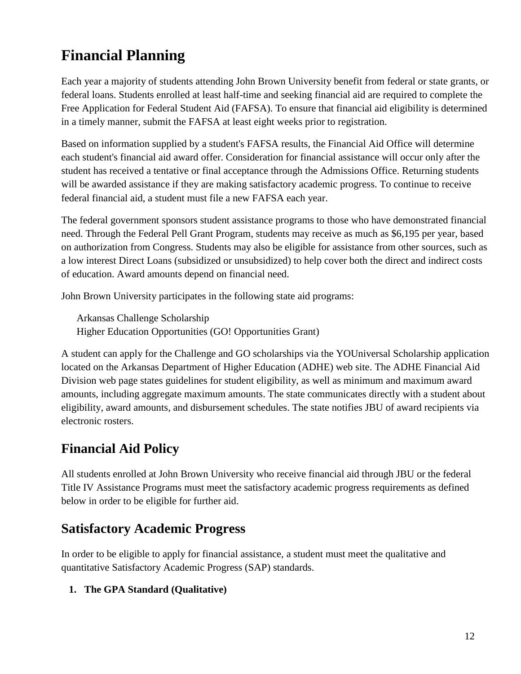# **Financial Planning**

Each year a majority of students attending John Brown University benefit from federal or state grants, or federal loans. Students enrolled at least half-time and seeking financial aid are required to complete the Free Application for Federal Student Aid (FAFSA). To ensure that financial aid eligibility is determined in a timely manner, submit the FAFSA at least eight weeks prior to registration.

Based on information supplied by a student's FAFSA results, the Financial Aid Office will determine each student's financial aid award offer. Consideration for financial assistance will occur only after the student has received a tentative or final acceptance through the Admissions Office. Returning students will be awarded assistance if they are making satisfactory academic progress. To continue to receive federal financial aid, a student must file a new FAFSA each year.

The federal government sponsors student assistance programs to those who have demonstrated financial need. Through the Federal Pell Grant Program, students may receive as much as \$6,195 per year, based on authorization from Congress. Students may also be eligible for assistance from other sources, such as a low interest Direct Loans (subsidized or unsubsidized) to help cover both the direct and indirect costs of education. Award amounts depend on financial need.

John Brown University participates in the following state aid programs:

Arkansas Challenge Scholarship Higher Education Opportunities (GO! Opportunities Grant)

A student can apply for the Challenge and GO scholarships via the YOUniversal Scholarship application located on the Arkansas Department of Higher Education (ADHE) web site. The ADHE Financial Aid Division web page states guidelines for student eligibility, as well as minimum and maximum award amounts, including aggregate maximum amounts. The state communicates directly with a student about eligibility, award amounts, and disbursement schedules. The state notifies JBU of award recipients via electronic rosters.

# **Financial Aid Policy**

All students enrolled at John Brown University who receive financial aid through JBU or the federal Title IV Assistance Programs must meet the satisfactory academic progress requirements as defined below in order to be eligible for further aid.

# **Satisfactory Academic Progress**

In order to be eligible to apply for financial assistance, a student must meet the qualitative and quantitative Satisfactory Academic Progress (SAP) standards.

### **1. The GPA Standard (Qualitative)**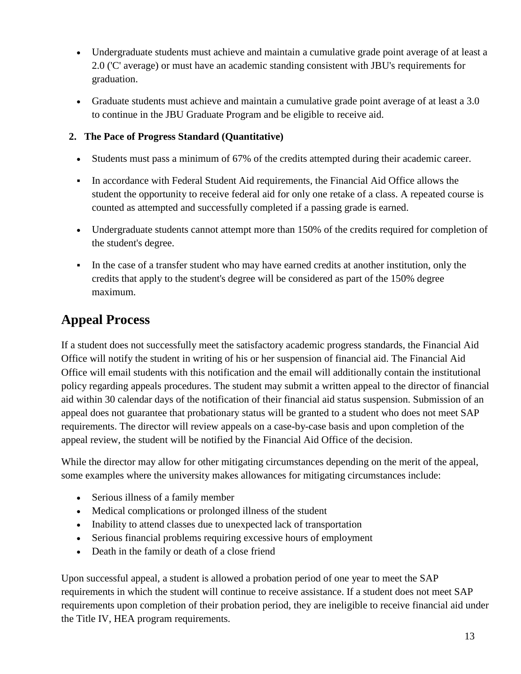- Undergraduate students must achieve and maintain a cumulative grade point average of at least a 2.0 ('C' average) or must have an academic standing consistent with JBU's requirements for graduation.
- Graduate students must achieve and maintain a cumulative grade point average of at least a 3.0 to continue in the JBU Graduate Program and be eligible to receive aid.

### **2. The Pace of Progress Standard (Quantitative)**

- Students must pass a minimum of 67% of the credits attempted during their academic career.
- In accordance with Federal Student Aid requirements, the Financial Aid Office allows the student the opportunity to receive federal aid for only one retake of a class. A repeated course is counted as attempted and successfully completed if a passing grade is earned.
- Undergraduate students cannot attempt more than 150% of the credits required for completion of the student's degree.
- In the case of a transfer student who may have earned credits at another institution, only the credits that apply to the student's degree will be considered as part of the 150% degree maximum.

# **Appeal Process**

If a student does not successfully meet the satisfactory academic progress standards, the Financial Aid Office will notify the student in writing of his or her suspension of financial aid. The Financial Aid Office will email students with this notification and the email will additionally contain the institutional policy regarding appeals procedures. The student may submit a written appeal to the director of financial aid within 30 calendar days of the notification of their financial aid status suspension. Submission of an appeal does not guarantee that probationary status will be granted to a student who does not meet SAP requirements. The director will review appeals on a case-by-case basis and upon completion of the appeal review, the student will be notified by the Financial Aid Office of the decision.

While the director may allow for other mitigating circumstances depending on the merit of the appeal, some examples where the university makes allowances for mitigating circumstances include:

- Serious illness of a family member
- Medical complications or prolonged illness of the student
- Inability to attend classes due to unexpected lack of transportation
- Serious financial problems requiring excessive hours of employment
- Death in the family or death of a close friend

Upon successful appeal, a student is allowed a probation period of one year to meet the SAP requirements in which the student will continue to receive assistance. If a student does not meet SAP requirements upon completion of their probation period, they are ineligible to receive financial aid under the Title IV, HEA program requirements.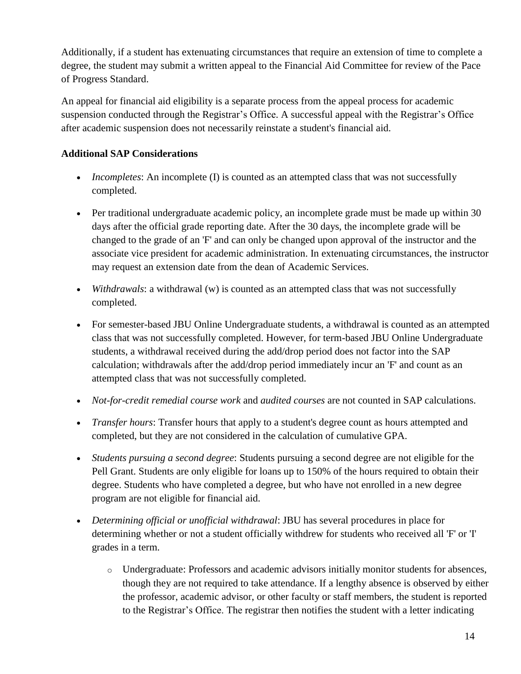Additionally, if a student has extenuating circumstances that require an extension of time to complete a degree, the student may submit a written appeal to the Financial Aid Committee for review of the Pace of Progress Standard.

An appeal for financial aid eligibility is a separate process from the appeal process for academic suspension conducted through the Registrar's Office. A successful appeal with the Registrar's Office after academic suspension does not necessarily reinstate a student's financial aid.

### **Additional SAP Considerations**

- *Incompletes*: An incomplete (I) is counted as an attempted class that was not successfully completed.
- Per traditional undergraduate academic policy, an incomplete grade must be made up within 30 days after the official grade reporting date. After the 30 days, the incomplete grade will be changed to the grade of an 'F' and can only be changed upon approval of the instructor and the associate vice president for academic administration. In extenuating circumstances, the instructor may request an extension date from the dean of Academic Services.
- *Withdrawals*: a withdrawal (w) is counted as an attempted class that was not successfully completed.
- For semester-based JBU Online Undergraduate students, a withdrawal is counted as an attempted class that was not successfully completed. However, for term-based JBU Online Undergraduate students, a withdrawal received during the add/drop period does not factor into the SAP calculation; withdrawals after the add/drop period immediately incur an 'F' and count as an attempted class that was not successfully completed.
- *Not-for-credit remedial course work* and *audited courses* are not counted in SAP calculations.
- *Transfer hours*: Transfer hours that apply to a student's degree count as hours attempted and completed, but they are not considered in the calculation of cumulative GPA.
- *Students pursuing a second degree*: Students pursuing a second degree are not eligible for the Pell Grant. Students are only eligible for loans up to 150% of the hours required to obtain their degree. Students who have completed a degree, but who have not enrolled in a new degree program are not eligible for financial aid.
- *Determining official or unofficial withdrawal*: JBU has several procedures in place for determining whether or not a student officially withdrew for students who received all 'F' or 'I' grades in a term.
	- o Undergraduate: Professors and academic advisors initially monitor students for absences, though they are not required to take attendance. If a lengthy absence is observed by either the professor, academic advisor, or other faculty or staff members, the student is reported to the Registrar's Office. The registrar then notifies the student with a letter indicating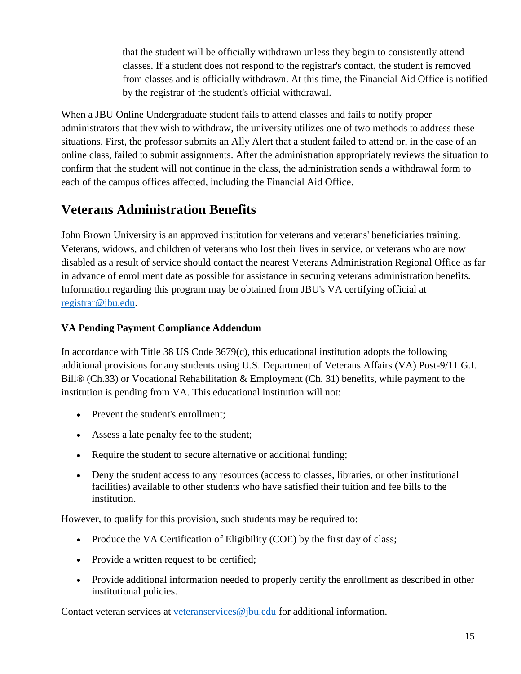that the student will be officially withdrawn unless they begin to consistently attend classes. If a student does not respond to the registrar's contact, the student is removed from classes and is officially withdrawn. At this time, the Financial Aid Office is notified by the registrar of the student's official withdrawal.

When a JBU Online Undergraduate student fails to attend classes and fails to notify proper administrators that they wish to withdraw, the university utilizes one of two methods to address these situations. First, the professor submits an Ally Alert that a student failed to attend or, in the case of an online class, failed to submit assignments. After the administration appropriately reviews the situation to confirm that the student will not continue in the class, the administration sends a withdrawal form to each of the campus offices affected, including the Financial Aid Office.

# <span id="page-14-0"></span>**Veterans Administration Benefits**

John Brown University is an approved institution for veterans and veterans' beneficiaries training. Veterans, widows, and children of veterans who lost their lives in service, or veterans who are now disabled as a result of service should contact the nearest Veterans Administration Regional Office as far in advance of enrollment date as possible for assistance in securing veterans administration benefits. Information regarding this program may be obtained from JBU's VA certifying official at [registrar@jbu.edu.](mailto:registrar@jbu.edu)

### **VA Pending Payment Compliance Addendum**

In accordance with Title 38 US Code 3679(c), this educational institution adopts the following additional provisions for any students using U.S. Department of Veterans Affairs (VA) Post-9/11 G.I. Bill® (Ch.33) or Vocational Rehabilitation & Employment (Ch. 31) benefits, while payment to the institution is pending from VA. This educational institution will not:

- Prevent the student's enrollment:
- Assess a late penalty fee to the student;
- Require the student to secure alternative or additional funding;
- Deny the student access to any resources (access to classes, libraries, or other institutional facilities) available to other students who have satisfied their tuition and fee bills to the institution.

However, to qualify for this provision, such students may be required to:

- Produce the VA Certification of Eligibility (COE) by the first day of class;
- Provide a written request to be certified;
- Provide additional information needed to properly certify the enrollment as described in other institutional policies.

Contact veteran services at [veteranservices@jbu.edu](mailto:veteranservices@jbu.edu) for additional information.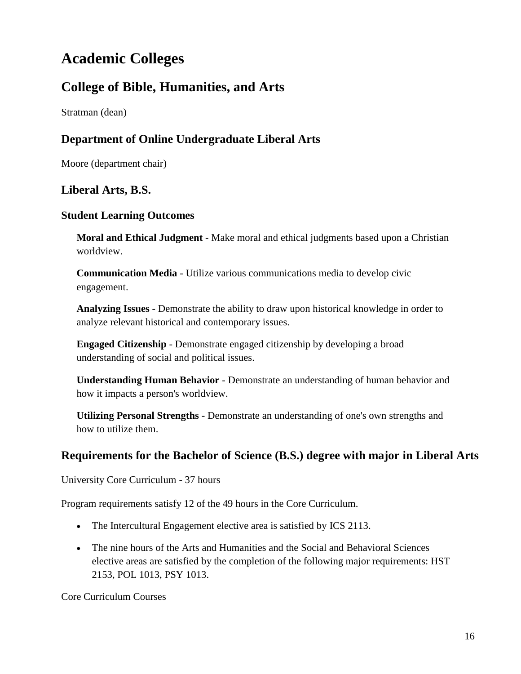# **Academic Colleges**

# **College of Bible, Humanities, and Arts**

Stratman (dean)

### **Department of Online Undergraduate Liberal Arts**

Moore (department chair)

### **Liberal Arts, B.S.**

### **Student Learning Outcomes**

**Moral and Ethical Judgment** - Make moral and ethical judgments based upon a Christian worldview.

**Communication Media** - Utilize various communications media to develop civic engagement.

**Analyzing Issues** - Demonstrate the ability to draw upon historical knowledge in order to analyze relevant historical and contemporary issues.

**Engaged Citizenship** - Demonstrate engaged citizenship by developing a broad understanding of social and political issues.

**Understanding Human Behavior** - Demonstrate an understanding of human behavior and how it impacts a person's worldview.

**Utilizing Personal Strengths** - Demonstrate an understanding of one's own strengths and how to utilize them.

### **Requirements for the Bachelor of Science (B.S.) degree with major in Liberal Arts**

University Core Curriculum - 37 hours

Program requirements satisfy 12 of the 49 hours in the Core Curriculum.

- The Intercultural Engagement elective area is satisfied by ICS 2113.
- The nine hours of the Arts and Humanities and the Social and Behavioral Sciences elective areas are satisfied by the completion of the following major requirements: HST 2153, POL 1013, PSY 1013.

Core Curriculum Courses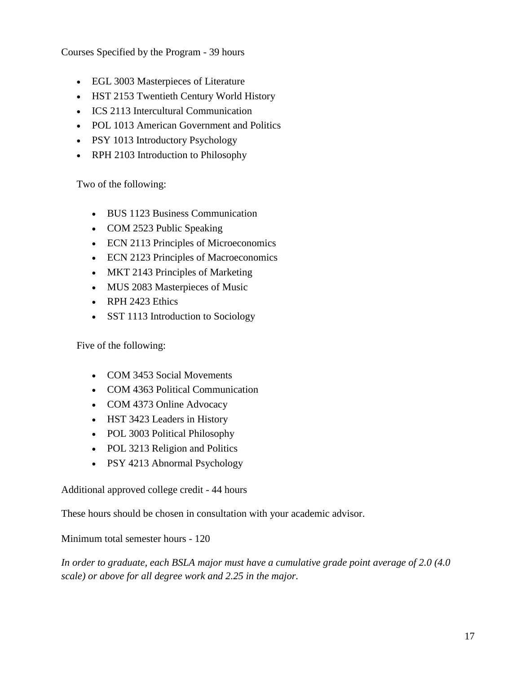Courses Specified by the Program - 39 hours

- EGL 3003 Masterpieces of Literature
- HST 2153 Twentieth Century World History
- ICS 2113 Intercultural Communication
- POL 1013 American Government and Politics
- PSY 1013 Introductory Psychology
- RPH 2103 Introduction to Philosophy

Two of the following:

- BUS 1123 Business Communication
- COM 2523 Public Speaking
- ECN 2113 Principles of Microeconomics
- ECN 2123 Principles of Macroeconomics
- MKT 2143 Principles of Marketing
- MUS 2083 Masterpieces of Music
- RPH 2423 Ethics
- SST 1113 Introduction to Sociology

Five of the following:

- COM 3453 Social Movements
- COM 4363 Political Communication
- COM 4373 Online Advocacy
- HST 3423 Leaders in History
- POL 3003 Political Philosophy
- POL 3213 Religion and Politics
- PSY 4213 Abnormal Psychology

Additional approved college credit - 44 hours

These hours should be chosen in consultation with your academic advisor.

Minimum total semester hours - 120

*In order to graduate, each BSLA major must have a cumulative grade point average of 2.0 (4.0 scale) or above for all degree work and 2.25 in the major.*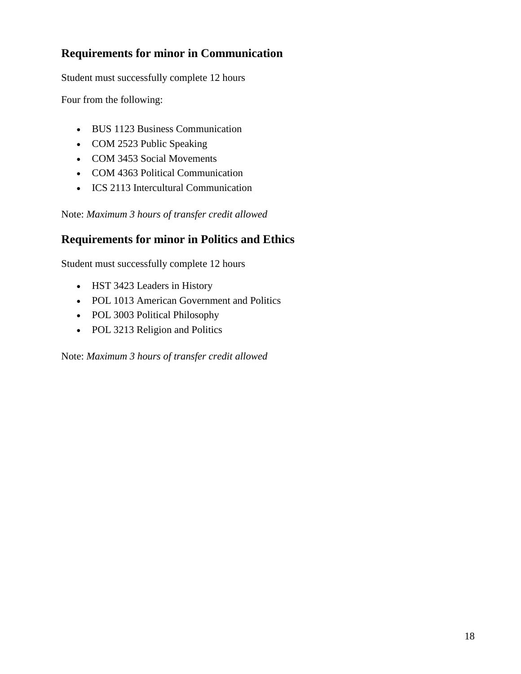# **Requirements for minor in Communication**

Student must successfully complete 12 hours

Four from the following:

- BUS 1123 Business Communication
- COM 2523 Public Speaking
- COM 3453 Social Movements
- COM 4363 Political Communication
- ICS 2113 Intercultural Communication

Note: *Maximum 3 hours of transfer credit allowed*

### **Requirements for minor in Politics and Ethics**

Student must successfully complete 12 hours

- HST 3423 Leaders in History
- POL 1013 American Government and Politics
- POL 3003 Political Philosophy
- POL 3213 Religion and Politics

Note: *Maximum 3 hours of transfer credit allowed*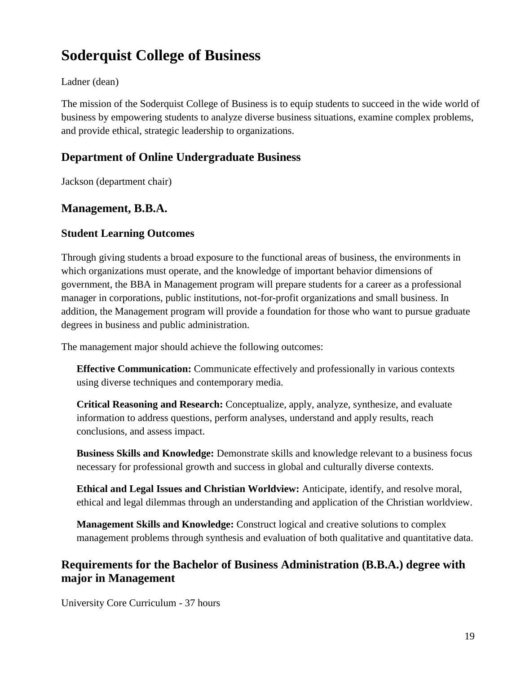# **Soderquist College of Business**

### Ladner (dean)

The mission of the Soderquist College of Business is to equip students to succeed in the wide world of business by empowering students to analyze diverse business situations, examine complex problems, and provide ethical, strategic leadership to organizations.

### **Department of Online Undergraduate Business**

Jackson (department chair)

### **Management, B.B.A.**

### **Student Learning Outcomes**

Through giving students a broad exposure to the functional areas of business, the environments in which organizations must operate, and the knowledge of important behavior dimensions of government, the BBA in Management program will prepare students for a career as a professional manager in corporations, public institutions, not-for-profit organizations and small business. In addition, the Management program will provide a foundation for those who want to pursue graduate degrees in business and public administration.

The management major should achieve the following outcomes:

**Effective Communication:** Communicate effectively and professionally in various contexts using diverse techniques and contemporary media.

**Critical Reasoning and Research:** Conceptualize, apply, analyze, synthesize, and evaluate information to address questions, perform analyses, understand and apply results, reach conclusions, and assess impact.

**Business Skills and Knowledge:** Demonstrate skills and knowledge relevant to a business focus necessary for professional growth and success in global and culturally diverse contexts.

**Ethical and Legal Issues and Christian Worldview:** Anticipate, identify, and resolve moral, ethical and legal dilemmas through an understanding and application of the Christian worldview.

**Management Skills and Knowledge:** Construct logical and creative solutions to complex management problems through synthesis and evaluation of both qualitative and quantitative data.

### **Requirements for the Bachelor of Business Administration (B.B.A.) degree with major in Management**

University Core Curriculum - 37 hours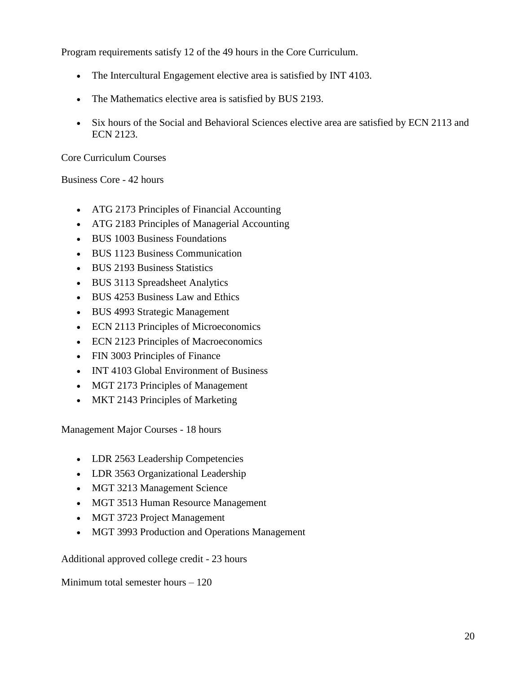Program requirements satisfy 12 of the 49 hours in the Core Curriculum.

- The Intercultural Engagement elective area is satisfied by INT 4103.
- The Mathematics elective area is satisfied by BUS 2193.
- Six hours of the Social and Behavioral Sciences elective area are satisfied by ECN 2113 and ECN 2123.

Core Curriculum Courses

Business Core - 42 hours

- ATG 2173 Principles of Financial Accounting
- ATG 2183 Principles of Managerial Accounting
- BUS 1003 Business Foundations
- BUS 1123 Business Communication
- BUS 2193 Business Statistics
- BUS 3113 Spreadsheet Analytics
- BUS 4253 Business Law and Ethics
- BUS 4993 Strategic Management
- ECN 2113 Principles of Microeconomics
- ECN 2123 Principles of Macroeconomics
- FIN 3003 Principles of Finance
- INT 4103 Global Environment of Business
- MGT 2173 Principles of Management
- MKT 2143 Principles of Marketing

Management Major Courses - 18 hours

- LDR 2563 Leadership Competencies
- LDR 3563 Organizational Leadership
- MGT 3213 Management Science
- MGT 3513 Human Resource Management
- MGT 3723 Project Management
- MGT 3993 Production and Operations Management

Additional approved college credit - 23 hours

Minimum total semester hours – 120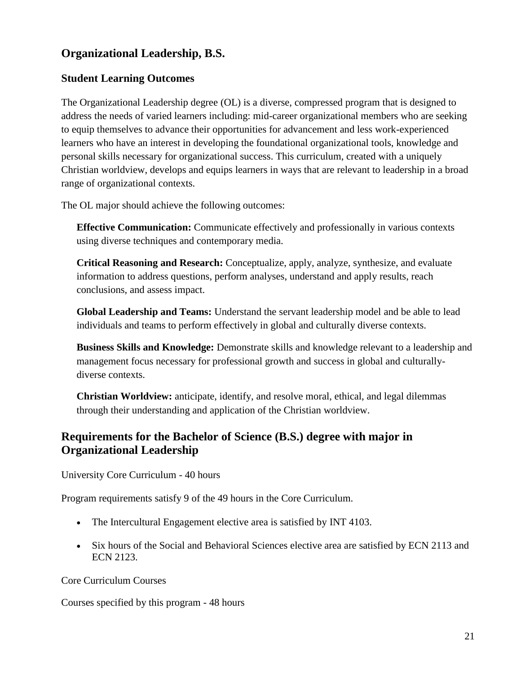# **Organizational Leadership, B.S.**

### **Student Learning Outcomes**

The Organizational Leadership degree (OL) is a diverse, compressed program that is designed to address the needs of varied learners including: mid-career organizational members who are seeking to equip themselves to advance their opportunities for advancement and less work-experienced learners who have an interest in developing the foundational organizational tools, knowledge and personal skills necessary for organizational success. This curriculum, created with a uniquely Christian worldview, develops and equips learners in ways that are relevant to leadership in a broad range of organizational contexts.

The OL major should achieve the following outcomes:

**Effective Communication:** Communicate effectively and professionally in various contexts using diverse techniques and contemporary media.

**Critical Reasoning and Research:** Conceptualize, apply, analyze, synthesize, and evaluate information to address questions, perform analyses, understand and apply results, reach conclusions, and assess impact.

**Global Leadership and Teams:** Understand the servant leadership model and be able to lead individuals and teams to perform effectively in global and culturally diverse contexts.

**Business Skills and Knowledge:** Demonstrate skills and knowledge relevant to a leadership and management focus necessary for professional growth and success in global and culturallydiverse contexts.

**Christian Worldview:** anticipate, identify, and resolve moral, ethical, and legal dilemmas through their understanding and application of the Christian worldview.

## **Requirements for the Bachelor of Science (B.S.) degree with major in Organizational Leadership**

University Core Curriculum - 40 hours

Program requirements satisfy 9 of the 49 hours in the Core Curriculum.

- The Intercultural Engagement elective area is satisfied by INT 4103.
- Six hours of the Social and Behavioral Sciences elective area are satisfied by ECN 2113 and ECN 2123.

Core Curriculum Courses

Courses specified by this program - 48 hours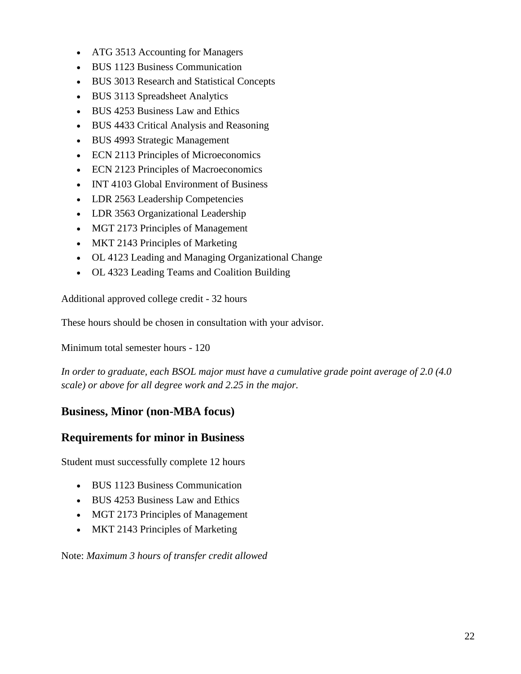- ATG 3513 Accounting for Managers
- BUS 1123 Business Communication
- BUS 3013 Research and Statistical Concepts
- BUS 3113 Spreadsheet Analytics
- BUS 4253 Business Law and Ethics
- BUS 4433 Critical Analysis and Reasoning
- BUS 4993 Strategic Management
- ECN 2113 Principles of Microeconomics
- ECN 2123 Principles of Macroeconomics
- INT 4103 Global Environment of Business
- LDR 2563 Leadership Competencies
- LDR 3563 Organizational Leadership
- MGT 2173 Principles of Management
- MKT 2143 Principles of Marketing
- OL 4123 Leading and Managing Organizational Change
- OL 4323 Leading Teams and Coalition Building

Additional approved college credit - 32 hours

These hours should be chosen in consultation with your advisor.

Minimum total semester hours - 120

*In order to graduate, each BSOL major must have a cumulative grade point average of 2.0 (4.0 scale) or above for all degree work and 2.25 in the major.*

### **Business, Minor (non-MBA focus)**

### **Requirements for minor in Business**

Student must successfully complete 12 hours

- BUS 1123 Business Communication
- BUS 4253 Business Law and Ethics
- MGT 2173 Principles of Management
- MKT 2143 Principles of Marketing

Note: *Maximum 3 hours of transfer credit allowed*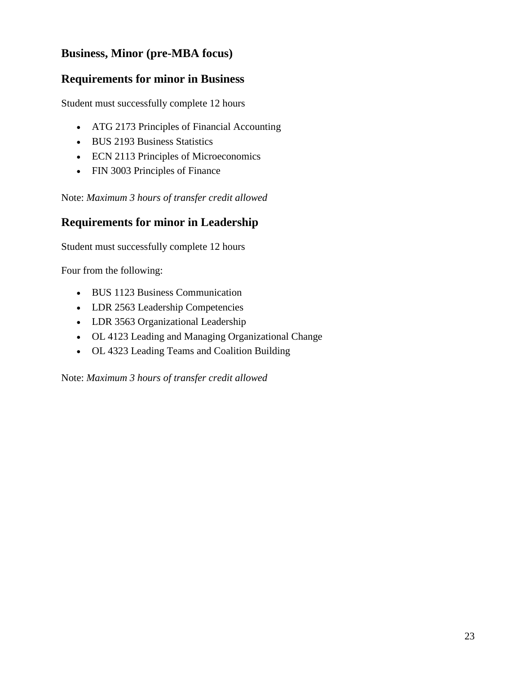# **Business, Minor (pre-MBA focus)**

### **Requirements for minor in Business**

Student must successfully complete 12 hours

- ATG 2173 Principles of Financial Accounting
- BUS 2193 Business Statistics
- ECN 2113 Principles of Microeconomics
- FIN 3003 Principles of Finance

Note: *Maximum 3 hours of transfer credit allowed*

### **Requirements for minor in Leadership**

Student must successfully complete 12 hours

Four from the following:

- BUS 1123 Business Communication
- LDR 2563 Leadership Competencies
- LDR 3563 Organizational Leadership
- OL 4123 Leading and Managing Organizational Change
- OL 4323 Leading Teams and Coalition Building

Note: *Maximum 3 hours of transfer credit allowed*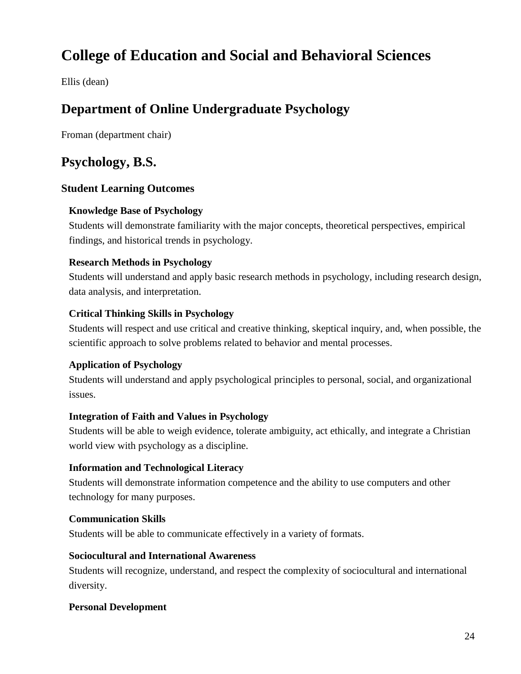# **College of Education and Social and Behavioral Sciences**

Ellis (dean)

# **Department of Online Undergraduate Psychology**

Froman (department chair)

# **Psychology, B.S.**

### **Student Learning Outcomes**

### **Knowledge Base of Psychology**

Students will demonstrate familiarity with the major concepts, theoretical perspectives, empirical findings, and historical trends in psychology.

### **Research Methods in Psychology**

Students will understand and apply basic research methods in psychology, including research design, data analysis, and interpretation.

### **Critical Thinking Skills in Psychology**

Students will respect and use critical and creative thinking, skeptical inquiry, and, when possible, the scientific approach to solve problems related to behavior and mental processes.

### **Application of Psychology**

Students will understand and apply psychological principles to personal, social, and organizational issues.

### **Integration of Faith and Values in Psychology**

Students will be able to weigh evidence, tolerate ambiguity, act ethically, and integrate a Christian world view with psychology as a discipline.

### **Information and Technological Literacy**

Students will demonstrate information competence and the ability to use computers and other technology for many purposes.

### **Communication Skills**

Students will be able to communicate effectively in a variety of formats.

### **Sociocultural and International Awareness**

Students will recognize, understand, and respect the complexity of sociocultural and international diversity.

### **Personal Development**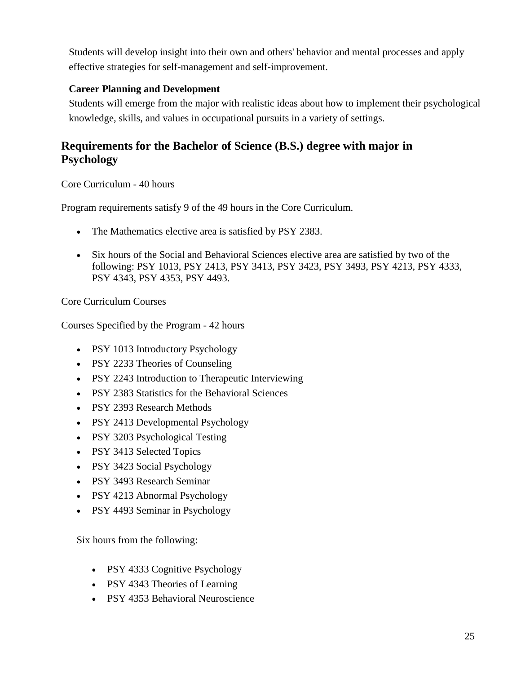Students will develop insight into their own and others' behavior and mental processes and apply effective strategies for self-management and self-improvement.

### **Career Planning and Development**

Students will emerge from the major with realistic ideas about how to implement their psychological knowledge, skills, and values in occupational pursuits in a variety of settings.

## **Requirements for the Bachelor of Science (B.S.) degree with major in Psychology**

Core Curriculum - 40 hours

Program requirements satisfy 9 of the 49 hours in the Core Curriculum.

- The Mathematics elective area is satisfied by PSY 2383.
- Six hours of the Social and Behavioral Sciences elective area are satisfied by two of the following: PSY 1013, PSY 2413, PSY 3413, PSY 3423, PSY 3493, PSY 4213, PSY 4333, PSY 4343, PSY 4353, PSY 4493.

Core Curriculum Courses

Courses Specified by the Program - 42 hours

- PSY 1013 Introductory Psychology
- PSY 2233 Theories of Counseling
- PSY 2243 Introduction to Therapeutic Interviewing
- PSY 2383 Statistics for the Behavioral Sciences
- PSY 2393 Research Methods
- PSY 2413 Developmental Psychology
- PSY 3203 Psychological Testing
- PSY 3413 Selected Topics
- PSY 3423 Social Psychology
- PSY 3493 Research Seminar
- PSY 4213 Abnormal Psychology
- PSY 4493 Seminar in Psychology

Six hours from the following:

- PSY 4333 Cognitive Psychology
- PSY 4343 Theories of Learning
- PSY 4353 Behavioral Neuroscience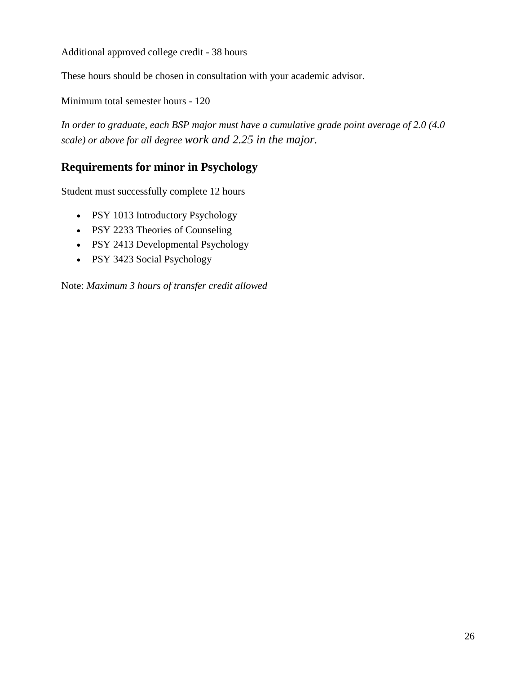Additional approved college credit - 38 hours

These hours should be chosen in consultation with your academic advisor.

Minimum total semester hours - 120

*In order to graduate, each BSP major must have a cumulative grade point average of 2.0 (4.0 scale) or above for all degree work and 2.25 in the major.*

### **Requirements for minor in Psychology**

Student must successfully complete 12 hours

- PSY 1013 Introductory Psychology
- PSY 2233 Theories of Counseling
- PSY 2413 Developmental Psychology
- PSY 3423 Social Psychology

Note: *Maximum 3 hours of transfer credit allowed*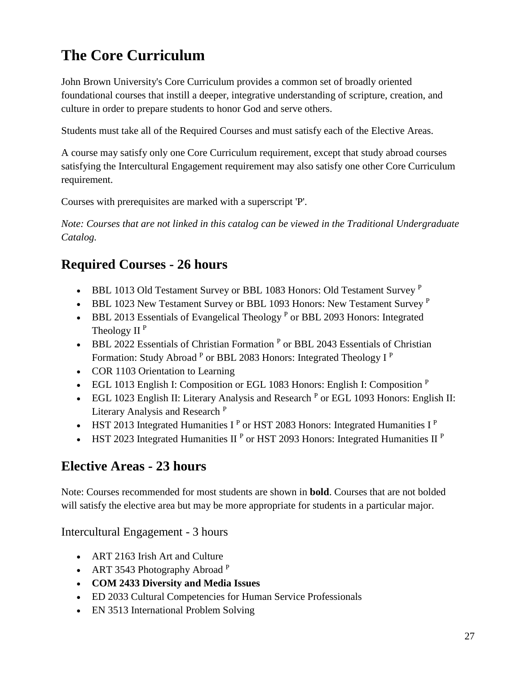# **The Core Curriculum**

John Brown University's Core Curriculum provides a common set of broadly oriented foundational courses that instill a deeper, integrative understanding of scripture, creation, and culture in order to prepare students to honor God and serve others.

Students must take all of the Required Courses and must satisfy each of the Elective Areas.

A course may satisfy only one Core Curriculum requirement, except that study abroad courses satisfying the Intercultural Engagement requirement may also satisfy one other Core Curriculum requirement.

Courses with prerequisites are marked with a superscript 'P'.

*Note: Courses that are not linked in this catalog can be viewed in the Traditional Undergraduate Catalog.*

# **Required Courses - 26 hours**

- BBL 1013 Old Testament Survey or BBL 1083 Honors: Old Testament Survey  $P$
- BBL 1023 New Testament Survey or BBL 1093 Honors: New Testament Survey  $P$
- $\bullet$  BBL 2013 Essentials of Evangelical Theology  $P$  or BBL 2093 Honors: Integrated Theology II $^{\rm P}$
- BBL 2022 Essentials of Christian Formation<sup>P</sup> or BBL 2043 Essentials of Christian Formation: Study Abroad <sup>P</sup> or BBL 2083 Honors: Integrated Theology I<sup>P</sup>
- COR 1103 Orientation to Learning
- EGL 1013 English I: Composition or EGL 1083 Honors: English I: Composition  $P$
- EGL 1023 English II: Literary Analysis and Research <sup>P</sup> or EGL 1093 Honors: English II: Literary Analysis and Research <sup>P</sup>
- HST 2013 Integrated Humanities  $I^P$  or HST 2083 Honors: Integrated Humanities  $I^P$
- HST 2023 Integrated Humanities II<sup>P</sup> or HST 2093 Honors: Integrated Humanities II<sup>P</sup>

# **Elective Areas - 23 hours**

Note: Courses recommended for most students are shown in **bold**. Courses that are not bolded will satisfy the elective area but may be more appropriate for students in a particular major.

Intercultural Engagement - 3 hours

- ART 2163 Irish Art and Culture
- ART 3543 Photography Abroad P
- **COM 2433 Diversity and Media Issues**
- ED 2033 Cultural Competencies for Human Service Professionals
- EN 3513 International Problem Solving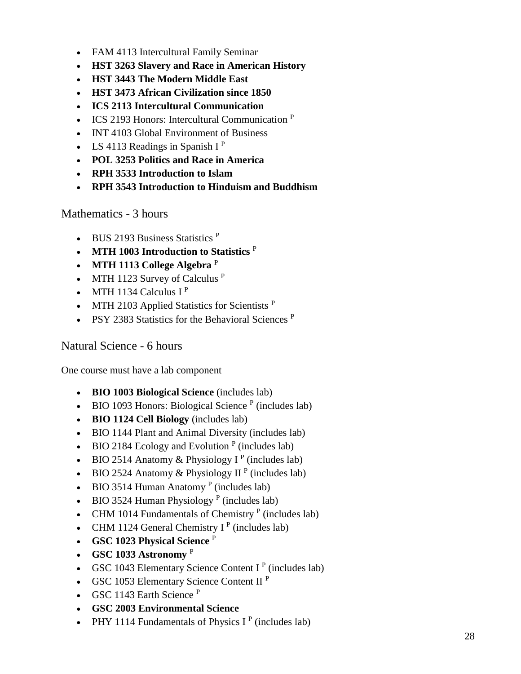- FAM 4113 Intercultural Family Seminar
- **HST 3263 Slavery and Race in American History**
- **HST 3443 The Modern Middle East**
- **HST 3473 African Civilization since 1850**
- **ICS 2113 Intercultural Communication**
- ICS 2193 Honors: Intercultural Communication  $P$
- INT 4103 Global Environment of Business
- LS 4113 Readings in Spanish  $I^P$
- **POL 3253 Politics and Race in America**
- **RPH 3533 Introduction to Islam**
- **RPH 3543 Introduction to Hinduism and Buddhism**

Mathematics - 3 hours

- BUS 2193 Business Statistics <sup>P</sup>
- **MTH 1003 Introduction to Statistics** <sup>P</sup>
- **MTH 1113 College Algebra** <sup>P</sup>
- MTH 1123 Survey of Calculus  $P$
- MTH 1134 Calculus  $I^P$
- MTH 2103 Applied Statistics for Scientists <sup>P</sup>
- PSY 2383 Statistics for the Behavioral Sciences  $P$

### Natural Science - 6 hours

One course must have a lab component

- **BIO 1003 Biological Science** (includes lab)
- BIO 1093 Honors: Biological Science  $P$  (includes lab)
- **BIO 1124 Cell Biology** (includes lab)
- BIO 1144 Plant and Animal Diversity (includes lab)
- BIO 2184 Ecology and Evolution<sup>P</sup> (includes lab)
- BIO 2514 Anatomy & Physiology I<sup>P</sup> (includes lab)
- BIO 2524 Anatomy & Physiology II<sup>P</sup> (includes lab)
- BIO 3514 Human Anatomy<sup>P</sup> (includes lab)
- BIO 3524 Human Physiology<sup>P</sup> (includes lab)
- CHM 1014 Fundamentals of Chemistry  $P$  (includes lab)
- CHM 1124 General Chemistry I<sup>P</sup> (includes lab)
- **GSC 1023 Physical Science** <sup>P</sup>
- **GSC 1033 Astronomy** <sup>P</sup>
- GSC 1043 Elementary Science Content I<sup>P</sup> (includes lab)
- GSC 1053 Elementary Science Content II<sup>P</sup>
- GSC 1143 Earth Science  $P$
- **GSC 2003 Environmental Science**
- PHY 1114 Fundamentals of Physics I<sup>P</sup> (includes lab)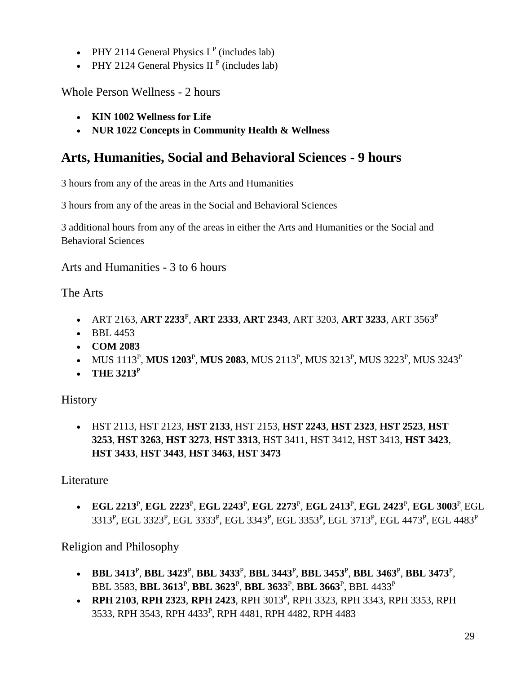- PHY 2114 General Physics  $I<sup>P</sup>$  (includes lab)
- PHY 2124 General Physics II<sup>P</sup> (includes lab)

Whole Person Wellness - 2 hours

- **KIN 1002 Wellness for Life**
- **NUR 1022 Concepts in Community Health & Wellness**

# **Arts, Humanities, Social and Behavioral Sciences - 9 hours**

3 hours from any of the areas in the Arts and Humanities

3 hours from any of the areas in the Social and Behavioral Sciences

3 additional hours from any of the areas in either the Arts and Humanities or the Social and Behavioral Sciences

Arts and Humanities - 3 to 6 hours

The Arts

- ART 2163, **ART 2233**<sup>P</sup> , **ART 2333**, **ART 2343**, ART 3203, **ART 3233**, ART 3563<sup>P</sup>
- BBL 4453
- **COM 2083**
- MUS 1113<sup>P</sup>, MUS 1203<sup>P</sup>, MUS 2083, MUS 2113<sup>P</sup>, MUS 3213<sup>P</sup>, MUS 3223<sup>P</sup>, MUS 3243<sup>P</sup>
- **THE 3213**<sup>P</sup>

**History** 

• HST 2113, HST 2123, **HST 2133**, HST 2153, **HST 2243**, **HST 2323**, **HST 2523**, **HST 3253**, **HST 3263**, **HST 3273**, **HST 3313**, HST 3411, HST 3412, HST 3413, **HST 3423**, **HST 3433**, **HST 3443**, **HST 3463**, **HST 3473**

Literature

• **EGL 2213**<sup>P</sup> , **EGL 2223**<sup>P</sup> , **EGL 2243**<sup>P</sup> , **EGL 2273**<sup>P</sup> , **EGL 2413**<sup>P</sup> , **EGL 2423**<sup>P</sup> , **EGL 3003**<sup>P</sup> , EGL 3313<sup>p</sup>, EGL 3323<sup>p</sup>, EGL 3333<sup>p</sup>, EGL 3343<sup>p</sup>, EGL 3353<sup>p</sup>, EGL 3713<sup>p</sup>, EGL 4473<sup>p</sup>, EGL 4483<sup>p</sup>

Religion and Philosophy

- **BBL 3413**<sup>P</sup> , **BBL 3423**<sup>P</sup> , **BBL 3433**<sup>P</sup> , **BBL 3443**<sup>P</sup> , **BBL 3453**<sup>P</sup> , **BBL 3463**<sup>P</sup> , **BBL 3473**<sup>P</sup> , BBL 3583, **BBL 3613**<sup>P</sup> , **BBL 3623**<sup>P</sup> , **BBL 3633**<sup>P</sup> , **BBL 3663**<sup>P</sup> , BBL 4433<sup>P</sup>
- **RPH 2103, RPH 2323, RPH 2423, RPH 3013<sup>P</sup>, RPH 3323, RPH 3343, RPH 3353, RPH** 3533, RPH 3543, RPH 4433<sup>p</sup>, RPH 4481, RPH 4482, RPH 4483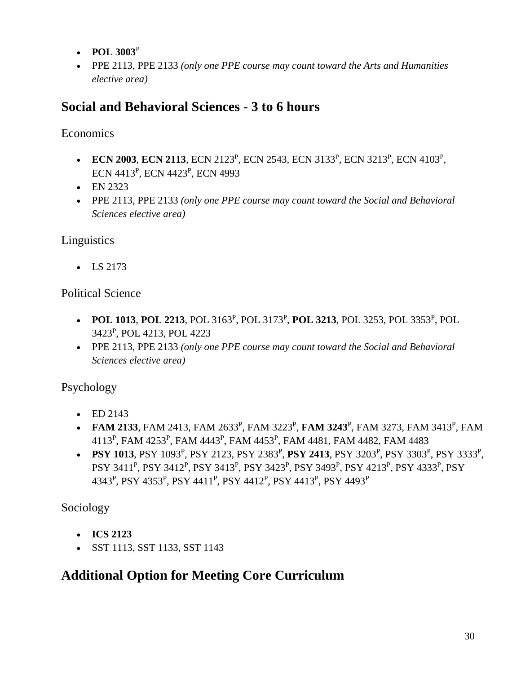- **POL 3003**<sup>P</sup>
- PPE 2113, PPE 2133 *(only one PPE course may count toward the Arts and Humanities elective area)*

# **Social and Behavioral Sciences - 3 to 6 hours**

**Economics** 

- **ECN 2003, ECN 2113, ECN** 2123<sup>P</sup>, ECN 2543, ECN 3133<sup>P</sup>, ECN 3213<sup>P</sup>, ECN 4103<sup>P</sup>, ECN 4413<sup>P</sup>, ECN 4423<sup>P</sup>, ECN 4993
- EN 2323
- PPE 2113, PPE 2133 *(only one PPE course may count toward the Social and Behavioral Sciences elective area)*

## Linguistics

• LS 2173

### Political Science

- **POL 1013, POL 2213**, POL 3163<sup>P</sup>, POL 3173<sup>P</sup>, **POL 3213**, POL 3253, POL 3353<sup>P</sup>, POL 3423<sup>P</sup> , POL 4213, POL 4223
- PPE 2113, PPE 2133 *(only one PPE course may count toward the Social and Behavioral Sciences elective area)*

## Psychology

- ED  $2143$
- **FAM 2133**, FAM 2413, FAM 2633<sup>P</sup>, FAM 3223<sup>P</sup>, FAM 3243<sup>P</sup>, FAM 3273, FAM 3413<sup>P</sup>, FAM 4113<sup>P</sup>, FAM 4253<sup>P</sup>, FAM 4443<sup>P</sup>, FAM 4453<sup>P</sup>, FAM 4481, FAM 4482, FAM 4483
- **PSY 1013**, PSY 1093<sup>P</sup>, PSY 2123, PSY 2383<sup>P</sup>, PSY 2413, PSY 3203<sup>P</sup>, PSY 3303<sup>P</sup>, PSY 3333<sup>P</sup>, PSY 3411<sup>P</sup>, PSY 3412<sup>P</sup>, PSY 3413<sup>P</sup>, PSY 3423<sup>P</sup>, PSY 3493<sup>P</sup>, PSY 4213<sup>P</sup>, PSY 4333<sup>P</sup>, PSY 4343<sup>p</sup>, PSY 4353<sup>p</sup>, PSY 4411<sup>p</sup>, PSY 4412<sup>p</sup>, PSY 4413<sup>p</sup>, PSY 4493<sup>p</sup>

Sociology

- **ICS 2123**
- SST 1113, SST 1133, SST 1143

# **Additional Option for Meeting Core Curriculum**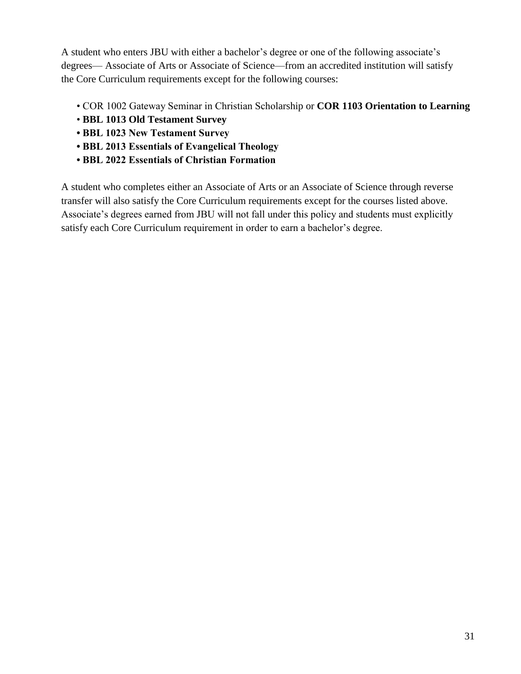A student who enters JBU with either a bachelor's degree or one of the following associate's degrees— Associate of Arts or Associate of Science—from an accredited institution will satisfy the Core Curriculum requirements except for the following courses:

- COR 1002 Gateway Seminar in Christian Scholarship or **COR 1103 Orientation to Learning**
- **BBL 1013 Old Testament Survey**
- **BBL 1023 New Testament Survey**
- **BBL 2013 Essentials of Evangelical Theology**
- **BBL 2022 Essentials of Christian Formation**

A student who completes either an Associate of Arts or an Associate of Science through reverse transfer will also satisfy the Core Curriculum requirements except for the courses listed above. Associate's degrees earned from JBU will not fall under this policy and students must explicitly satisfy each Core Curriculum requirement in order to earn a bachelor's degree.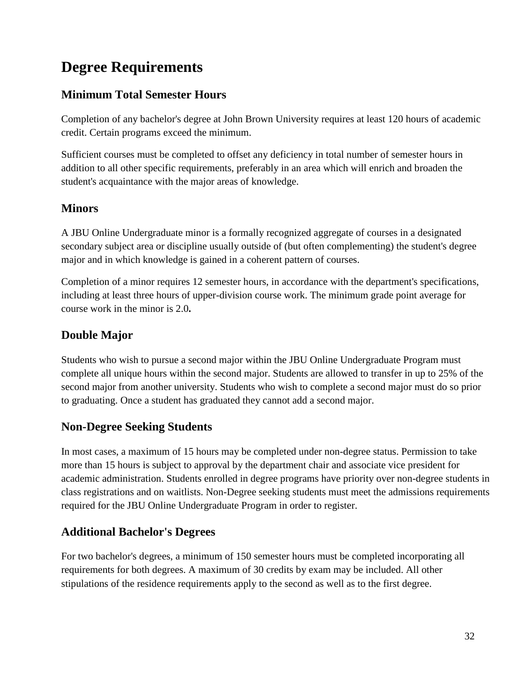# **Degree Requirements**

# **Minimum Total Semester Hours**

Completion of any bachelor's degree at John Brown University requires at least 120 hours of academic credit. Certain programs exceed the minimum.

Sufficient courses must be completed to offset any deficiency in total number of semester hours in addition to all other specific requirements, preferably in an area which will enrich and broaden the student's acquaintance with the major areas of knowledge.

# **Minors**

A JBU Online Undergraduate minor is a formally recognized aggregate of courses in a designated secondary subject area or discipline usually outside of (but often complementing) the student's degree major and in which knowledge is gained in a coherent pattern of courses.

Completion of a minor requires 12 semester hours, in accordance with the department's specifications, including at least three hours of upper-division course work. The minimum grade point average for course work in the minor is 2.0**.**

# **Double Major**

Students who wish to pursue a second major within the JBU Online Undergraduate Program must complete all unique hours within the second major. Students are allowed to transfer in up to 25% of the second major from another university. Students who wish to complete a second major must do so prior to graduating. Once a student has graduated they cannot add a second major.

# **Non-Degree Seeking Students**

In most cases, a maximum of 15 hours may be completed under non-degree status. Permission to take more than 15 hours is subject to approval by the department chair and associate vice president for academic administration. Students enrolled in degree programs have priority over non-degree students in class registrations and on waitlists. Non-Degree seeking students must meet the admissions requirements required for the JBU Online Undergraduate Program in order to register.

# **Additional Bachelor's Degrees**

For two bachelor's degrees, a minimum of 150 semester hours must be completed incorporating all requirements for both degrees. A maximum of 30 credits by exam may be included. All other stipulations of the residence requirements apply to the second as well as to the first degree.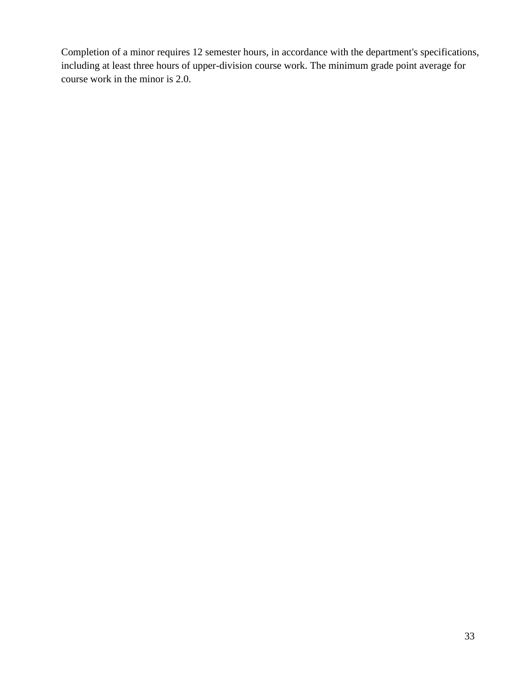Completion of a minor requires 12 semester hours, in accordance with the department's specifications, including at least three hours of upper-division course work. The minimum grade point average for course work in the minor is 2.0.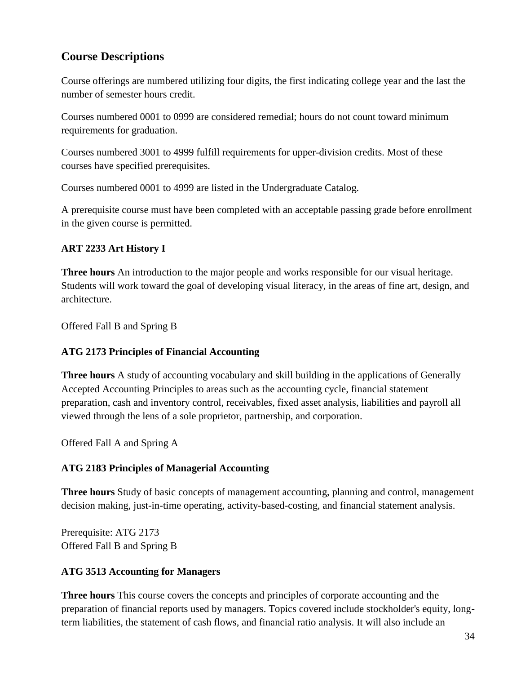### **Course Descriptions**

Course offerings are numbered utilizing four digits, the first indicating college year and the last the number of semester hours credit.

Courses numbered 0001 to 0999 are considered remedial; hours do not count toward minimum requirements for graduation.

Courses numbered 3001 to 4999 fulfill requirements for upper-division credits. Most of these courses have specified prerequisites.

Courses numbered 0001 to 4999 are listed in the Undergraduate Catalog.

A prerequisite course must have been completed with an acceptable passing grade before enrollment in the given course is permitted.

### **ART 2233 Art History I**

**Three hours** An introduction to the major people and works responsible for our visual heritage. Students will work toward the goal of developing visual literacy, in the areas of fine art, design, and architecture.

Offered Fall B and Spring B

### **ATG 2173 Principles of Financial Accounting**

**Three hours** A study of accounting vocabulary and skill building in the applications of Generally Accepted Accounting Principles to areas such as the accounting cycle, financial statement preparation, cash and inventory control, receivables, fixed asset analysis, liabilities and payroll all viewed through the lens of a sole proprietor, partnership, and corporation.

Offered Fall A and Spring A

### **ATG 2183 Principles of Managerial Accounting**

**Three hours** Study of basic concepts of management accounting, planning and control, management decision making, just-in-time operating, activity-based-costing, and financial statement analysis.

Prerequisite: ATG 2173 Offered Fall B and Spring B

### **ATG 3513 Accounting for Managers**

**Three hours** This course covers the concepts and principles of corporate accounting and the preparation of financial reports used by managers. Topics covered include stockholder's equity, longterm liabilities, the statement of cash flows, and financial ratio analysis. It will also include an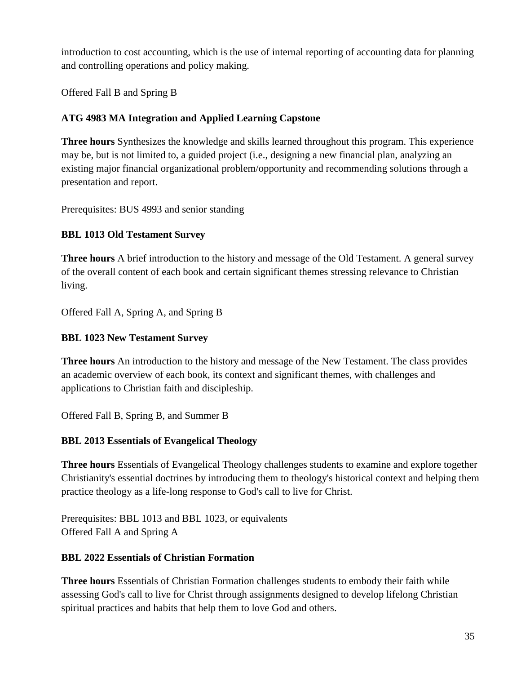introduction to cost accounting, which is the use of internal reporting of accounting data for planning and controlling operations and policy making.

Offered Fall B and Spring B

### **ATG 4983 MA Integration and Applied Learning Capstone**

**Three hours** Synthesizes the knowledge and skills learned throughout this program. This experience may be, but is not limited to, a guided project (i.e., designing a new financial plan, analyzing an existing major financial organizational problem/opportunity and recommending solutions through a presentation and report.

Prerequisites: BUS 4993 and senior standing

### **BBL 1013 Old Testament Survey**

**Three hours** A brief introduction to the history and message of the Old Testament. A general survey of the overall content of each book and certain significant themes stressing relevance to Christian living.

Offered Fall A, Spring A, and Spring B

### **BBL 1023 New Testament Survey**

**Three hours** An introduction to the history and message of the New Testament. The class provides an academic overview of each book, its context and significant themes, with challenges and applications to Christian faith and discipleship.

Offered Fall B, Spring B, and Summer B

### **BBL 2013 Essentials of Evangelical Theology**

**Three hours** Essentials of Evangelical Theology challenges students to examine and explore together Christianity's essential doctrines by introducing them to theology's historical context and helping them practice theology as a life-long response to God's call to live for Christ.

Prerequisites: BBL 1013 and BBL 1023, or equivalents Offered Fall A and Spring A

### **BBL 2022 Essentials of Christian Formation**

**Three hours** Essentials of Christian Formation challenges students to embody their faith while assessing God's call to live for Christ through assignments designed to develop lifelong Christian spiritual practices and habits that help them to love God and others.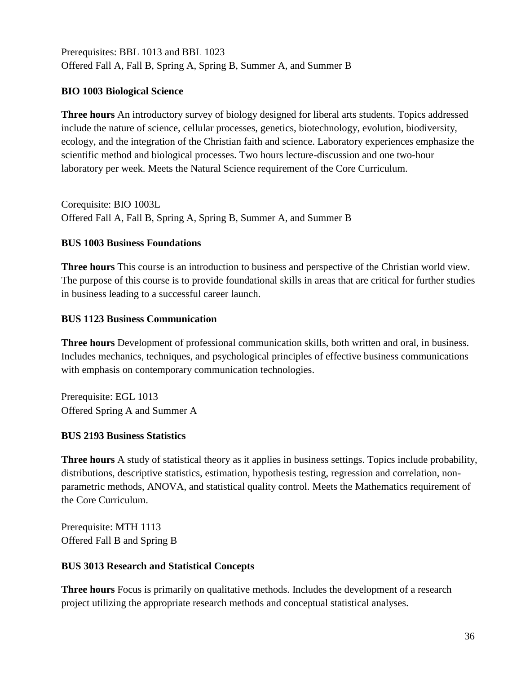Prerequisites: BBL 1013 and BBL 1023 Offered Fall A, Fall B, Spring A, Spring B, Summer A, and Summer B

### **BIO 1003 Biological Science**

**Three hours** An introductory survey of biology designed for liberal arts students. Topics addressed include the nature of science, cellular processes, genetics, biotechnology, evolution, biodiversity, ecology, and the integration of the Christian faith and science. Laboratory experiences emphasize the scientific method and biological processes. Two hours lecture-discussion and one two-hour laboratory per week. Meets the Natural Science requirement of the Core Curriculum.

Corequisite: BIO 1003L Offered Fall A, Fall B, Spring A, Spring B, Summer A, and Summer B

### **BUS 1003 Business Foundations**

**Three hours** This course is an introduction to business and perspective of the Christian world view. The purpose of this course is to provide foundational skills in areas that are critical for further studies in business leading to a successful career launch.

### **BUS 1123 Business Communication**

**Three hours** Development of professional communication skills, both written and oral, in business. Includes mechanics, techniques, and psychological principles of effective business communications with emphasis on contemporary communication technologies.

Prerequisite: EGL 1013 Offered Spring A and Summer A

### **BUS 2193 Business Statistics**

**Three hours** A study of statistical theory as it applies in business settings. Topics include probability, distributions, descriptive statistics, estimation, hypothesis testing, regression and correlation, nonparametric methods, ANOVA, and statistical quality control. Meets the Mathematics requirement of the Core Curriculum.

Prerequisite: MTH 1113 Offered Fall B and Spring B

### **BUS 3013 Research and Statistical Concepts**

**Three hours** Focus is primarily on qualitative methods. Includes the development of a research project utilizing the appropriate research methods and conceptual statistical analyses.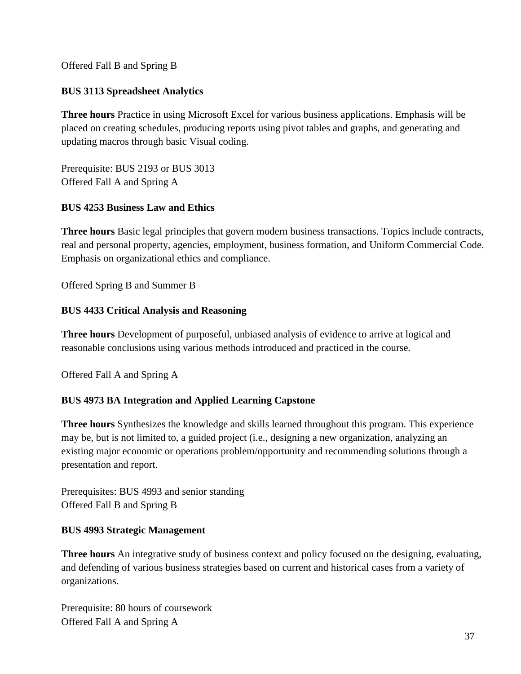Offered Fall B and Spring B

#### **BUS 3113 Spreadsheet Analytics**

**Three hours** Practice in using Microsoft Excel for various business applications. Emphasis will be placed on creating schedules, producing reports using pivot tables and graphs, and generating and updating macros through basic Visual coding.

Prerequisite: BUS 2193 or BUS 3013 Offered Fall A and Spring A

#### **BUS 4253 Business Law and Ethics**

**Three hours** Basic legal principles that govern modern business transactions. Topics include contracts, real and personal property, agencies, employment, business formation, and Uniform Commercial Code. Emphasis on organizational ethics and compliance.

Offered Spring B and Summer B

#### **BUS 4433 Critical Analysis and Reasoning**

**Three hours** Development of purposeful, unbiased analysis of evidence to arrive at logical and reasonable conclusions using various methods introduced and practiced in the course.

Offered Fall A and Spring A

#### **BUS 4973 BA Integration and Applied Learning Capstone**

**Three hours** Synthesizes the knowledge and skills learned throughout this program. This experience may be, but is not limited to, a guided project (i.e., designing a new organization, analyzing an existing major economic or operations problem/opportunity and recommending solutions through a presentation and report.

Prerequisites: BUS 4993 and senior standing Offered Fall B and Spring B

#### **BUS 4993 Strategic Management**

**Three hours** An integrative study of business context and policy focused on the designing, evaluating, and defending of various business strategies based on current and historical cases from a variety of organizations.

Prerequisite: 80 hours of coursework Offered Fall A and Spring A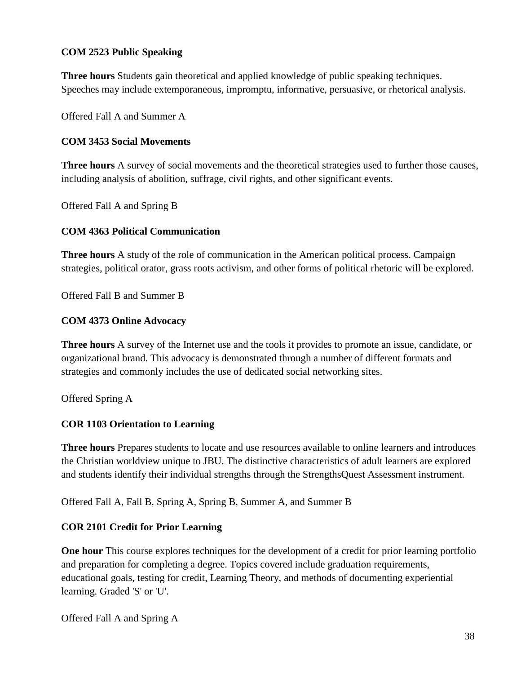#### **COM 2523 Public Speaking**

**Three hours** Students gain theoretical and applied knowledge of public speaking techniques. Speeches may include extemporaneous, impromptu, informative, persuasive, or rhetorical analysis.

Offered Fall A and Summer A

#### **COM 3453 Social Movements**

**Three hours** A survey of social movements and the theoretical strategies used to further those causes, including analysis of abolition, suffrage, civil rights, and other significant events.

Offered Fall A and Spring B

#### **COM 4363 Political Communication**

**Three hours** A study of the role of communication in the American political process. Campaign strategies, political orator, grass roots activism, and other forms of political rhetoric will be explored.

Offered Fall B and Summer B

#### **COM 4373 Online Advocacy**

**Three hours** A survey of the Internet use and the tools it provides to promote an issue, candidate, or organizational brand. This advocacy is demonstrated through a number of different formats and strategies and commonly includes the use of dedicated social networking sites.

Offered Spring A

#### **COR 1103 Orientation to Learning**

**Three hours** Prepares students to locate and use resources available to online learners and introduces the Christian worldview unique to JBU. The distinctive characteristics of adult learners are explored and students identify their individual strengths through the StrengthsQuest Assessment instrument.

Offered Fall A, Fall B, Spring A, Spring B, Summer A, and Summer B

#### **COR 2101 Credit for Prior Learning**

**One hour** This course explores techniques for the development of a credit for prior learning portfolio and preparation for completing a degree. Topics covered include graduation requirements, educational goals, testing for credit, Learning Theory, and methods of documenting experiential learning. Graded 'S' or 'U'.

Offered Fall A and Spring A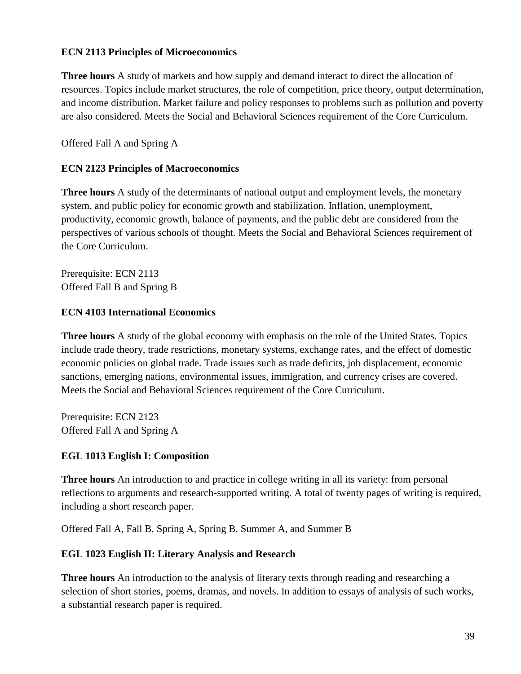#### **ECN 2113 Principles of Microeconomics**

**Three hours** A study of markets and how supply and demand interact to direct the allocation of resources. Topics include market structures, the role of competition, price theory, output determination, and income distribution. Market failure and policy responses to problems such as pollution and poverty are also considered. Meets the Social and Behavioral Sciences requirement of the Core Curriculum.

Offered Fall A and Spring A

#### **ECN 2123 Principles of Macroeconomics**

**Three hours** A study of the determinants of national output and employment levels, the monetary system, and public policy for economic growth and stabilization. Inflation, unemployment, productivity, economic growth, balance of payments, and the public debt are considered from the perspectives of various schools of thought. Meets the Social and Behavioral Sciences requirement of the Core Curriculum.

Prerequisite: ECN 2113 Offered Fall B and Spring B

#### **ECN 4103 International Economics**

**Three hours** A study of the global economy with emphasis on the role of the United States. Topics include trade theory, trade restrictions, monetary systems, exchange rates, and the effect of domestic economic policies on global trade. Trade issues such as trade deficits, job displacement, economic sanctions, emerging nations, environmental issues, immigration, and currency crises are covered. Meets the Social and Behavioral Sciences requirement of the Core Curriculum.

Prerequisite: ECN 2123 Offered Fall A and Spring A

#### **EGL 1013 English I: Composition**

**Three hours** An introduction to and practice in college writing in all its variety: from personal reflections to arguments and research-supported writing. A total of twenty pages of writing is required, including a short research paper.

Offered Fall A, Fall B, Spring A, Spring B, Summer A, and Summer B

#### **EGL 1023 English II: Literary Analysis and Research**

**Three hours** An introduction to the analysis of literary texts through reading and researching a selection of short stories, poems, dramas, and novels. In addition to essays of analysis of such works, a substantial research paper is required.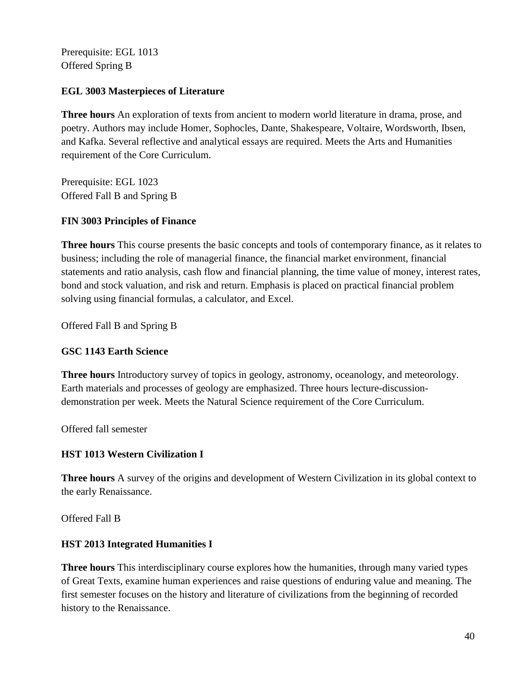Prerequisite: EGL 1013 Offered Spring B

#### **EGL 3003 Masterpieces of Literature**

**Three hours** An exploration of texts from ancient to modern world literature in drama, prose, and poetry. Authors may include Homer, Sophocles, Dante, Shakespeare, Voltaire, Wordsworth, Ibsen, and Kafka. Several reflective and analytical essays are required. Meets the Arts and Humanities requirement of the Core Curriculum.

Prerequisite: EGL 1023 Offered Fall B and Spring B

#### **FIN 3003 Principles of Finance**

**Three hours** This course presents the basic concepts and tools of contemporary finance, as it relates to business; including the role of managerial finance, the financial market environment, financial statements and ratio analysis, cash flow and financial planning, the time value of money, interest rates, bond and stock valuation, and risk and return. Emphasis is placed on practical financial problem solving using financial formulas, a calculator, and Excel.

Offered Fall B and Spring B

#### **GSC 1143 Earth Science**

**Three hours** Introductory survey of topics in geology, astronomy, oceanology, and meteorology. Earth materials and processes of geology are emphasized. Three hours lecture-discussiondemonstration per week. Meets the Natural Science requirement of the Core Curriculum.

Offered fall semester

#### **HST 1013 Western Civilization I**

**Three hours** A survey of the origins and development of Western Civilization in its global context to the early Renaissance.

Offered Fall B

#### **HST 2013 Integrated Humanities I**

**Three hours** This interdisciplinary course explores how the humanities, through many varied types of Great Texts, examine human experiences and raise questions of enduring value and meaning. The first semester focuses on the history and literature of civilizations from the beginning of recorded history to the Renaissance.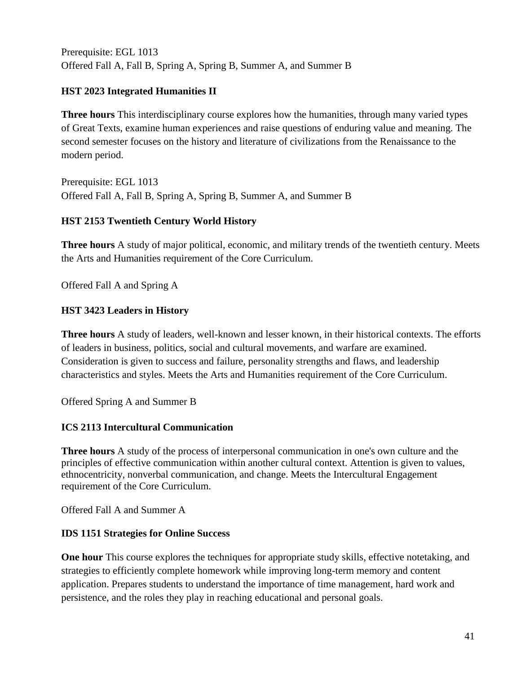Prerequisite: EGL 1013 Offered Fall A, Fall B, Spring A, Spring B, Summer A, and Summer B

#### **HST 2023 Integrated Humanities II**

**Three hours** This interdisciplinary course explores how the humanities, through many varied types of Great Texts, examine human experiences and raise questions of enduring value and meaning. The second semester focuses on the history and literature of civilizations from the Renaissance to the modern period.

Prerequisite: EGL 1013 Offered Fall A, Fall B, Spring A, Spring B, Summer A, and Summer B

#### **HST 2153 Twentieth Century World History**

**Three hours** A study of major political, economic, and military trends of the twentieth century. Meets the Arts and Humanities requirement of the Core Curriculum.

Offered Fall A and Spring A

#### **HST 3423 Leaders in History**

**Three hours** A study of leaders, well-known and lesser known, in their historical contexts. The efforts of leaders in business, politics, social and cultural movements, and warfare are examined. Consideration is given to success and failure, personality strengths and flaws, and leadership characteristics and styles. Meets the Arts and Humanities requirement of the Core Curriculum.

Offered Spring A and Summer B

#### **ICS 2113 Intercultural Communication**

**Three hours** A study of the process of interpersonal communication in one's own culture and the principles of effective communication within another cultural context. Attention is given to values, ethnocentricity, nonverbal communication, and change. Meets the Intercultural Engagement requirement of the Core Curriculum.

Offered Fall A and Summer A

#### **IDS 1151 Strategies for Online Success**

**One hour** This course explores the techniques for appropriate study skills, effective notetaking, and strategies to efficiently complete homework while improving long-term memory and content application. Prepares students to understand the importance of time management, hard work and persistence, and the roles they play in reaching educational and personal goals.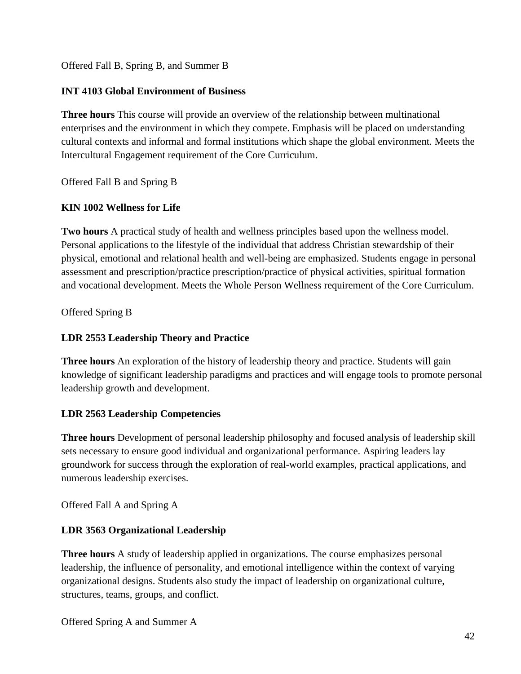Offered Fall B, Spring B, and Summer B

#### **INT 4103 Global Environment of Business**

**Three hours** This course will provide an overview of the relationship between multinational enterprises and the environment in which they compete. Emphasis will be placed on understanding cultural contexts and informal and formal institutions which shape the global environment. Meets the Intercultural Engagement requirement of the Core Curriculum.

Offered Fall B and Spring B

#### **KIN 1002 Wellness for Life**

**Two hours** A practical study of health and wellness principles based upon the wellness model. Personal applications to the lifestyle of the individual that address Christian stewardship of their physical, emotional and relational health and well-being are emphasized. Students engage in personal assessment and prescription/practice prescription/practice of physical activities, spiritual formation and vocational development. Meets the Whole Person Wellness requirement of the Core Curriculum.

Offered Spring B

#### **LDR 2553 Leadership Theory and Practice**

**Three hours** An exploration of the history of leadership theory and practice. Students will gain knowledge of significant leadership paradigms and practices and will engage tools to promote personal leadership growth and development.

#### **LDR 2563 Leadership Competencies**

**Three hours** Development of personal leadership philosophy and focused analysis of leadership skill sets necessary to ensure good individual and organizational performance. Aspiring leaders lay groundwork for success through the exploration of real-world examples, practical applications, and numerous leadership exercises.

Offered Fall A and Spring A

#### **LDR 3563 Organizational Leadership**

**Three hours** A study of leadership applied in organizations. The course emphasizes personal leadership, the influence of personality, and emotional intelligence within the context of varying organizational designs. Students also study the impact of leadership on organizational culture, structures, teams, groups, and conflict.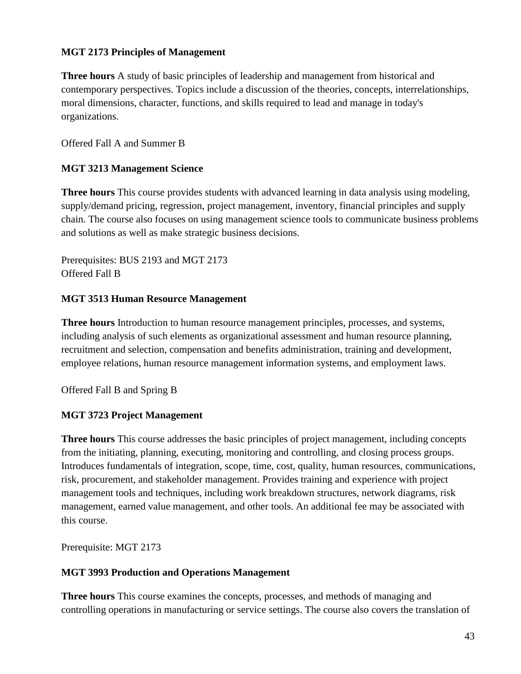#### **MGT 2173 Principles of Management**

**Three hours** A study of basic principles of leadership and management from historical and contemporary perspectives. Topics include a discussion of the theories, concepts, interrelationships, moral dimensions, character, functions, and skills required to lead and manage in today's organizations.

Offered Fall A and Summer B

#### **MGT 3213 Management Science**

**Three hours** This course provides students with advanced learning in data analysis using modeling, supply/demand pricing, regression, project management, inventory, financial principles and supply chain. The course also focuses on using management science tools to communicate business problems and solutions as well as make strategic business decisions.

Prerequisites: BUS 2193 and MGT 2173 Offered Fall B

#### **MGT 3513 Human Resource Management**

**Three hours** Introduction to human resource management principles, processes, and systems, including analysis of such elements as organizational assessment and human resource planning, recruitment and selection, compensation and benefits administration, training and development, employee relations, human resource management information systems, and employment laws.

Offered Fall B and Spring B

#### **MGT 3723 Project Management**

**Three hours** This course addresses the basic principles of project management, including concepts from the initiating, planning, executing, monitoring and controlling, and closing process groups. Introduces fundamentals of integration, scope, time, cost, quality, human resources, communications, risk, procurement, and stakeholder management. Provides training and experience with project management tools and techniques, including work breakdown structures, network diagrams, risk management, earned value management, and other tools. An additional fee may be associated with this course.

Prerequisite: MGT 2173

#### **MGT 3993 Production and Operations Management**

**Three hours** This course examines the concepts, processes, and methods of managing and controlling operations in manufacturing or service settings. The course also covers the translation of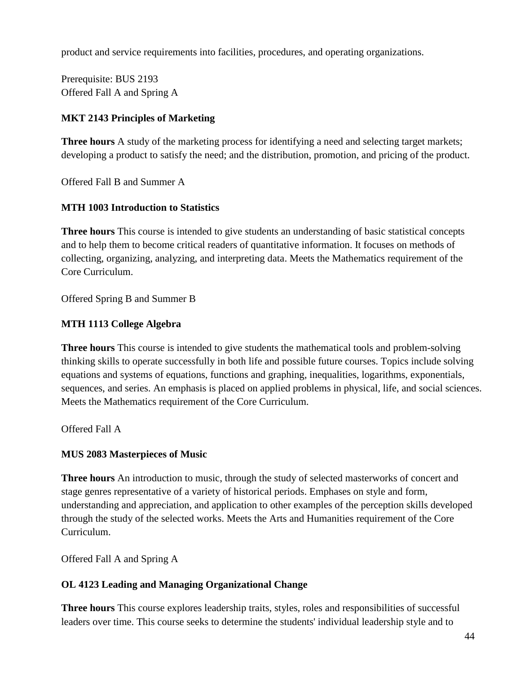product and service requirements into facilities, procedures, and operating organizations.

Prerequisite: BUS 2193 Offered Fall A and Spring A

### **MKT 2143 Principles of Marketing**

**Three hours** A study of the marketing process for identifying a need and selecting target markets; developing a product to satisfy the need; and the distribution, promotion, and pricing of the product.

Offered Fall B and Summer A

#### **MTH 1003 Introduction to Statistics**

**Three hours** This course is intended to give students an understanding of basic statistical concepts and to help them to become critical readers of quantitative information. It focuses on methods of collecting, organizing, analyzing, and interpreting data. Meets the Mathematics requirement of the Core Curriculum.

Offered Spring B and Summer B

#### **MTH 1113 College Algebra**

**Three hours** This course is intended to give students the mathematical tools and problem-solving thinking skills to operate successfully in both life and possible future courses. Topics include solving equations and systems of equations, functions and graphing, inequalities, logarithms, exponentials, sequences, and series. An emphasis is placed on applied problems in physical, life, and social sciences. Meets the Mathematics requirement of the Core Curriculum.

Offered Fall A

#### **MUS 2083 Masterpieces of Music**

**Three hours** An introduction to music, through the study of selected masterworks of concert and stage genres representative of a variety of historical periods. Emphases on style and form, understanding and appreciation, and application to other examples of the perception skills developed through the study of the selected works. Meets the Arts and Humanities requirement of the Core Curriculum.

Offered Fall A and Spring A

#### **OL 4123 Leading and Managing Organizational Change**

**Three hours** This course explores leadership traits, styles, roles and responsibilities of successful leaders over time. This course seeks to determine the students' individual leadership style and to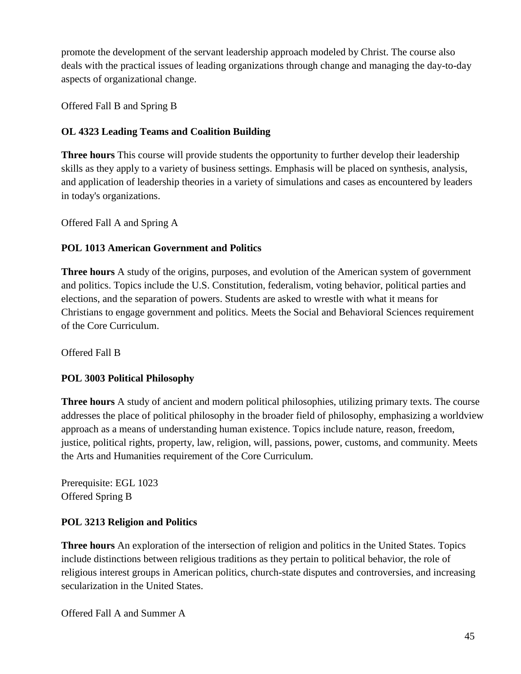promote the development of the servant leadership approach modeled by Christ. The course also deals with the practical issues of leading organizations through change and managing the day-to-day aspects of organizational change.

Offered Fall B and Spring B

### **OL 4323 Leading Teams and Coalition Building**

**Three hours** This course will provide students the opportunity to further develop their leadership skills as they apply to a variety of business settings. Emphasis will be placed on synthesis, analysis, and application of leadership theories in a variety of simulations and cases as encountered by leaders in today's organizations.

Offered Fall A and Spring A

#### **POL 1013 American Government and Politics**

**Three hours** A study of the origins, purposes, and evolution of the American system of government and politics. Topics include the U.S. Constitution, federalism, voting behavior, political parties and elections, and the separation of powers. Students are asked to wrestle with what it means for Christians to engage government and politics. Meets the Social and Behavioral Sciences requirement of the Core Curriculum.

Offered Fall B

#### **POL 3003 Political Philosophy**

**Three hours** A study of ancient and modern political philosophies, utilizing primary texts. The course addresses the place of political philosophy in the broader field of philosophy, emphasizing a worldview approach as a means of understanding human existence. Topics include nature, reason, freedom, justice, political rights, property, law, religion, will, passions, power, customs, and community. Meets the Arts and Humanities requirement of the Core Curriculum.

Prerequisite: EGL 1023 Offered Spring B

#### **POL 3213 Religion and Politics**

**Three hours** An exploration of the intersection of religion and politics in the United States. Topics include distinctions between religious traditions as they pertain to political behavior, the role of religious interest groups in American politics, church-state disputes and controversies, and increasing secularization in the United States.

Offered Fall A and Summer A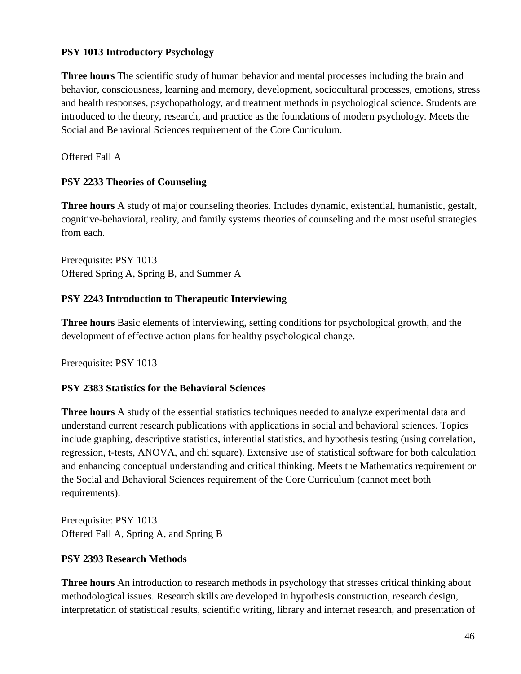#### **PSY 1013 Introductory Psychology**

**Three hours** The scientific study of human behavior and mental processes including the brain and behavior, consciousness, learning and memory, development, sociocultural processes, emotions, stress and health responses, psychopathology, and treatment methods in psychological science. Students are introduced to the theory, research, and practice as the foundations of modern psychology. Meets the Social and Behavioral Sciences requirement of the Core Curriculum.

Offered Fall A

#### **PSY 2233 Theories of Counseling**

**Three hours** A study of major counseling theories. Includes dynamic, existential, humanistic, gestalt, cognitive-behavioral, reality, and family systems theories of counseling and the most useful strategies from each.

Prerequisite: PSY 1013 Offered Spring A, Spring B, and Summer A

#### **PSY 2243 Introduction to Therapeutic Interviewing**

**Three hours** Basic elements of interviewing, setting conditions for psychological growth, and the development of effective action plans for healthy psychological change.

Prerequisite: PSY 1013

#### **PSY 2383 Statistics for the Behavioral Sciences**

**Three hours** A study of the essential statistics techniques needed to analyze experimental data and understand current research publications with applications in social and behavioral sciences. Topics include graphing, descriptive statistics, inferential statistics, and hypothesis testing (using correlation, regression, t-tests, ANOVA, and chi square). Extensive use of statistical software for both calculation and enhancing conceptual understanding and critical thinking. Meets the Mathematics requirement or the Social and Behavioral Sciences requirement of the Core Curriculum (cannot meet both requirements).

Prerequisite: PSY 1013 Offered Fall A, Spring A, and Spring B

#### **PSY 2393 Research Methods**

**Three hours** An introduction to research methods in psychology that stresses critical thinking about methodological issues. Research skills are developed in hypothesis construction, research design, interpretation of statistical results, scientific writing, library and internet research, and presentation of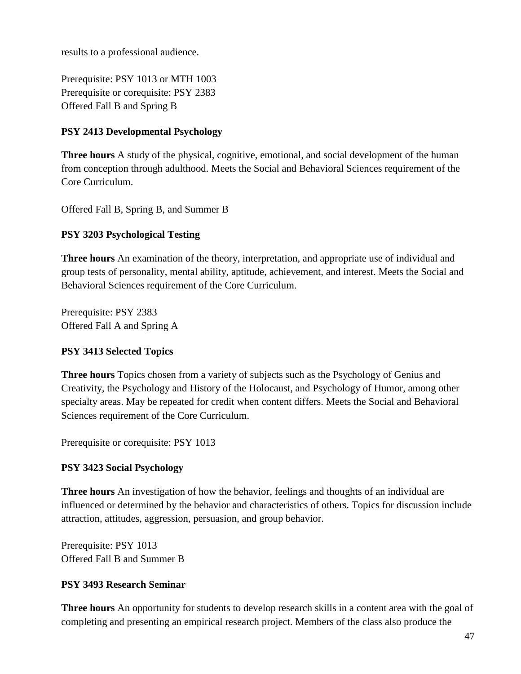results to a professional audience.

Prerequisite: PSY 1013 or MTH 1003 Prerequisite or corequisite: PSY 2383 Offered Fall B and Spring B

#### **PSY 2413 Developmental Psychology**

**Three hours** A study of the physical, cognitive, emotional, and social development of the human from conception through adulthood. Meets the Social and Behavioral Sciences requirement of the Core Curriculum.

Offered Fall B, Spring B, and Summer B

#### **PSY 3203 Psychological Testing**

**Three hours** An examination of the theory, interpretation, and appropriate use of individual and group tests of personality, mental ability, aptitude, achievement, and interest. Meets the Social and Behavioral Sciences requirement of the Core Curriculum.

Prerequisite: PSY 2383 Offered Fall A and Spring A

#### **PSY 3413 Selected Topics**

**Three hours** Topics chosen from a variety of subjects such as the Psychology of Genius and Creativity, the Psychology and History of the Holocaust, and Psychology of Humor, among other specialty areas. May be repeated for credit when content differs. Meets the Social and Behavioral Sciences requirement of the Core Curriculum.

Prerequisite or corequisite: PSY 1013

#### **PSY 3423 Social Psychology**

**Three hours** An investigation of how the behavior, feelings and thoughts of an individual are influenced or determined by the behavior and characteristics of others. Topics for discussion include attraction, attitudes, aggression, persuasion, and group behavior.

Prerequisite: PSY 1013 Offered Fall B and Summer B

#### **PSY 3493 Research Seminar**

**Three hours** An opportunity for students to develop research skills in a content area with the goal of completing and presenting an empirical research project. Members of the class also produce the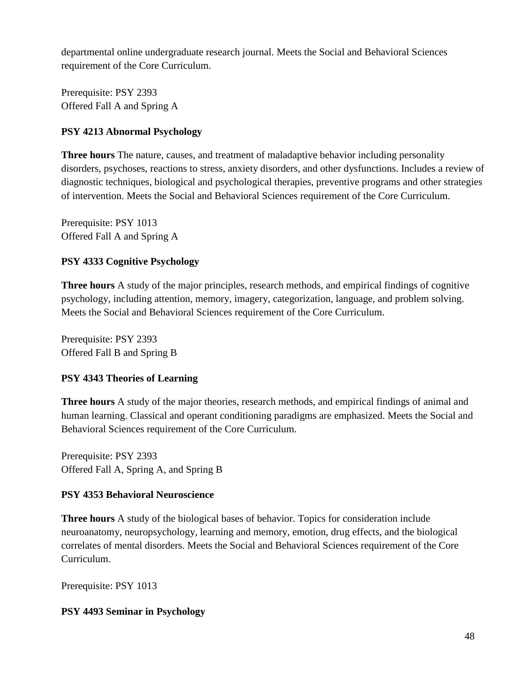departmental online undergraduate research journal. Meets the Social and Behavioral Sciences requirement of the Core Curriculum.

Prerequisite: PSY 2393 Offered Fall A and Spring A

#### **PSY 4213 Abnormal Psychology**

**Three hours** The nature, causes, and treatment of maladaptive behavior including personality disorders, psychoses, reactions to stress, anxiety disorders, and other dysfunctions. Includes a review of diagnostic techniques, biological and psychological therapies, preventive programs and other strategies of intervention. Meets the Social and Behavioral Sciences requirement of the Core Curriculum.

Prerequisite: PSY 1013 Offered Fall A and Spring A

#### **PSY 4333 Cognitive Psychology**

**Three hours** A study of the major principles, research methods, and empirical findings of cognitive psychology, including attention, memory, imagery, categorization, language, and problem solving. Meets the Social and Behavioral Sciences requirement of the Core Curriculum.

Prerequisite: PSY 2393 Offered Fall B and Spring B

#### **PSY 4343 Theories of Learning**

**Three hours** A study of the major theories, research methods, and empirical findings of animal and human learning. Classical and operant conditioning paradigms are emphasized. Meets the Social and Behavioral Sciences requirement of the Core Curriculum.

Prerequisite: PSY 2393 Offered Fall A, Spring A, and Spring B

#### **PSY 4353 Behavioral Neuroscience**

**Three hours** A study of the biological bases of behavior. Topics for consideration include neuroanatomy, neuropsychology, learning and memory, emotion, drug effects, and the biological correlates of mental disorders. Meets the Social and Behavioral Sciences requirement of the Core Curriculum.

Prerequisite: PSY 1013

#### **PSY 4493 Seminar in Psychology**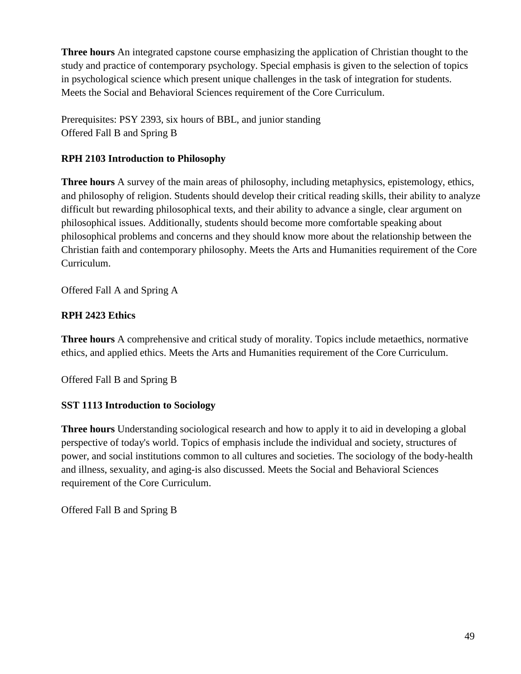**Three hours** An integrated capstone course emphasizing the application of Christian thought to the study and practice of contemporary psychology. Special emphasis is given to the selection of topics in psychological science which present unique challenges in the task of integration for students. Meets the Social and Behavioral Sciences requirement of the Core Curriculum.

Prerequisites: PSY 2393, six hours of BBL, and junior standing Offered Fall B and Spring B

## **RPH 2103 Introduction to Philosophy**

**Three hours** A survey of the main areas of philosophy, including metaphysics, epistemology, ethics, and philosophy of religion. Students should develop their critical reading skills, their ability to analyze difficult but rewarding philosophical texts, and their ability to advance a single, clear argument on philosophical issues. Additionally, students should become more comfortable speaking about philosophical problems and concerns and they should know more about the relationship between the Christian faith and contemporary philosophy. Meets the Arts and Humanities requirement of the Core Curriculum.

Offered Fall A and Spring A

## **RPH 2423 Ethics**

**Three hours** A comprehensive and critical study of morality. Topics include metaethics, normative ethics, and applied ethics. Meets the Arts and Humanities requirement of the Core Curriculum.

Offered Fall B and Spring B

## **SST 1113 Introduction to Sociology**

**Three hours** Understanding sociological research and how to apply it to aid in developing a global perspective of today's world. Topics of emphasis include the individual and society, structures of power, and social institutions common to all cultures and societies. The sociology of the body-health and illness, sexuality, and aging-is also discussed. Meets the Social and Behavioral Sciences requirement of the Core Curriculum.

Offered Fall B and Spring B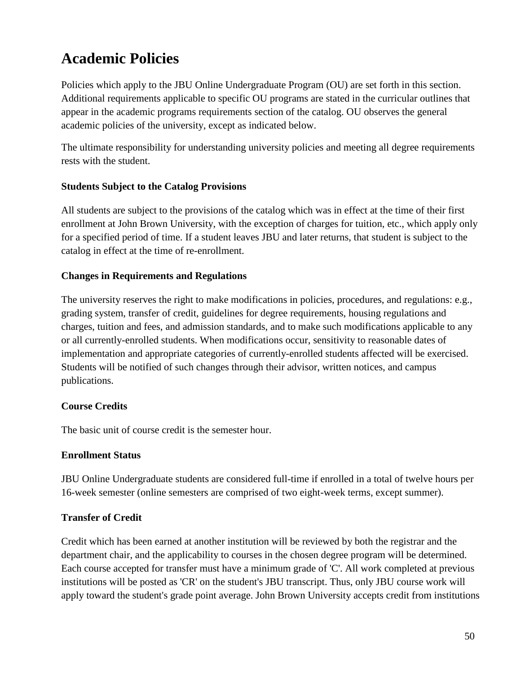# **Academic Policies**

Policies which apply to the JBU Online Undergraduate Program (OU) are set forth in this section. Additional requirements applicable to specific OU programs are stated in the curricular outlines that appear in the academic programs requirements section of the catalog. OU observes the general academic policies of the university, except as indicated below.

The ultimate responsibility for understanding university policies and meeting all degree requirements rests with the student.

#### **Students Subject to the Catalog Provisions**

All students are subject to the provisions of the catalog which was in effect at the time of their first enrollment at John Brown University, with the exception of charges for tuition, etc., which apply only for a specified period of time. If a student leaves JBU and later returns, that student is subject to the catalog in effect at the time of re-enrollment.

#### **Changes in Requirements and Regulations**

The university reserves the right to make modifications in policies, procedures, and regulations: e.g., grading system, transfer of credit, guidelines for degree requirements, housing regulations and charges, tuition and fees, and admission standards, and to make such modifications applicable to any or all currently-enrolled students. When modifications occur, sensitivity to reasonable dates of implementation and appropriate categories of currently-enrolled students affected will be exercised. Students will be notified of such changes through their advisor, written notices, and campus publications.

#### **Course Credits**

The basic unit of course credit is the semester hour.

#### **Enrollment Status**

JBU Online Undergraduate students are considered full-time if enrolled in a total of twelve hours per 16-week semester (online semesters are comprised of two eight-week terms, except summer).

#### **Transfer of Credit**

Credit which has been earned at another institution will be reviewed by both the registrar and the department chair, and the applicability to courses in the chosen degree program will be determined. Each course accepted for transfer must have a minimum grade of 'C'. All work completed at previous institutions will be posted as 'CR' on the student's JBU transcript. Thus, only JBU course work will apply toward the student's grade point average. John Brown University accepts credit from institutions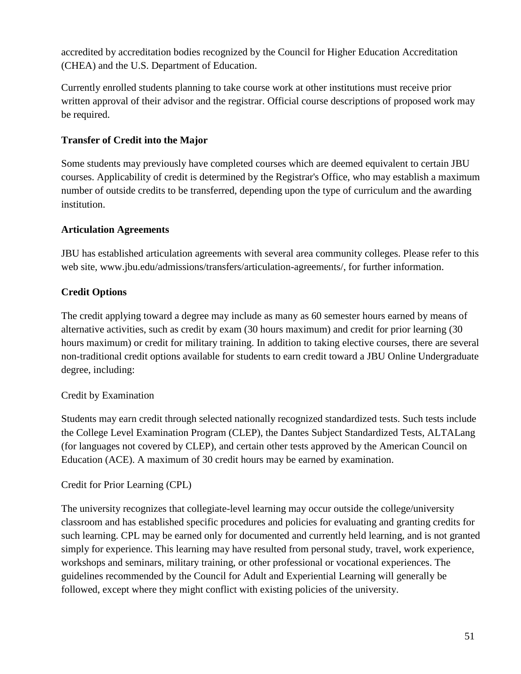accredited by accreditation bodies recognized by the Council for Higher Education Accreditation (CHEA) and the U.S. Department of Education.

Currently enrolled students planning to take course work at other institutions must receive prior written approval of their advisor and the registrar. Official course descriptions of proposed work may be required.

## **Transfer of Credit into the Major**

Some students may previously have completed courses which are deemed equivalent to certain JBU courses. Applicability of credit is determined by the Registrar's Office, who may establish a maximum number of outside credits to be transferred, depending upon the type of curriculum and the awarding institution.

#### **Articulation Agreements**

JBU has established articulation agreements with several area community colleges. Please refer to this web site, www.jbu.edu/admissions/transfers/articulation-agreements/, for further information.

## **Credit Options**

The credit applying toward a degree may include as many as 60 semester hours earned by means of alternative activities, such as credit by exam (30 hours maximum) and credit for prior learning (30 hours maximum) or credit for military training. In addition to taking elective courses, there are several non-traditional credit options available for students to earn credit toward a JBU Online Undergraduate degree, including:

## Credit by Examination

Students may earn credit through selected nationally recognized standardized tests. Such tests include the College Level Examination Program (CLEP), the Dantes Subject Standardized Tests, ALTALang (for languages not covered by CLEP), and certain other tests approved by the American Council on Education (ACE). A maximum of 30 credit hours may be earned by examination.

#### Credit for Prior Learning (CPL)

The university recognizes that collegiate-level learning may occur outside the college/university classroom and has established specific procedures and policies for evaluating and granting credits for such learning. CPL may be earned only for documented and currently held learning, and is not granted simply for experience. This learning may have resulted from personal study, travel, work experience, workshops and seminars, military training, or other professional or vocational experiences. The guidelines recommended by the Council for Adult and Experiential Learning will generally be followed, except where they might conflict with existing policies of the university.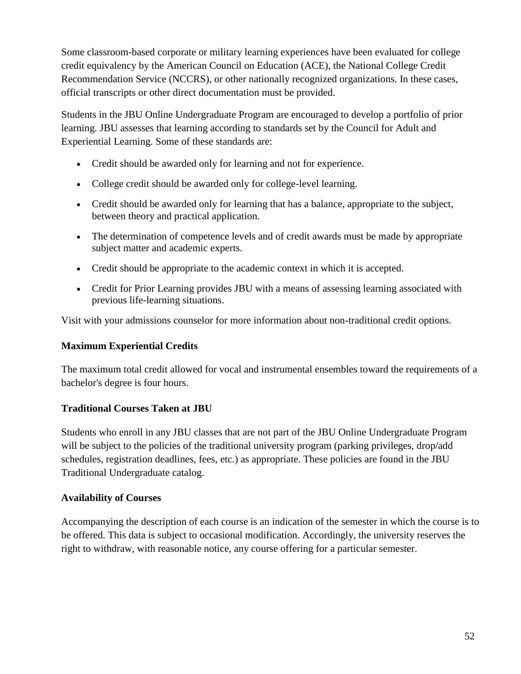Some classroom-based corporate or military learning experiences have been evaluated for college credit equivalency by the American Council on Education (ACE), the National College Credit Recommendation Service (NCCRS), or other nationally recognized organizations. In these cases, official transcripts or other direct documentation must be provided.

Students in the JBU Online Undergraduate Program are encouraged to develop a portfolio of prior learning. JBU assesses that learning according to standards set by the Council for Adult and Experiential Learning. Some of these standards are:

- Credit should be awarded only for learning and not for experience.
- College credit should be awarded only for college-level learning.
- Credit should be awarded only for learning that has a balance, appropriate to the subject, between theory and practical application.
- The determination of competence levels and of credit awards must be made by appropriate subject matter and academic experts.
- Credit should be appropriate to the academic context in which it is accepted.
- Credit for Prior Learning provides JBU with a means of assessing learning associated with previous life-learning situations.

Visit with your admissions counselor for more information about non-traditional credit options.

#### **Maximum Experiential Credits**

The maximum total credit allowed for vocal and instrumental ensembles toward the requirements of a bachelor's degree is four hours.

#### **Traditional Courses Taken at JBU**

Students who enroll in any JBU classes that are not part of the JBU Online Undergraduate Program will be subject to the policies of the traditional university program (parking privileges, drop/add schedules, registration deadlines, fees, etc.) as appropriate. These policies are found in the JBU Traditional Undergraduate catalog.

#### **Availability of Courses**

Accompanying the description of each course is an indication of the semester in which the course is to be offered. This data is subject to occasional modification. Accordingly, the university reserves the right to withdraw, with reasonable notice, any course offering for a particular semester.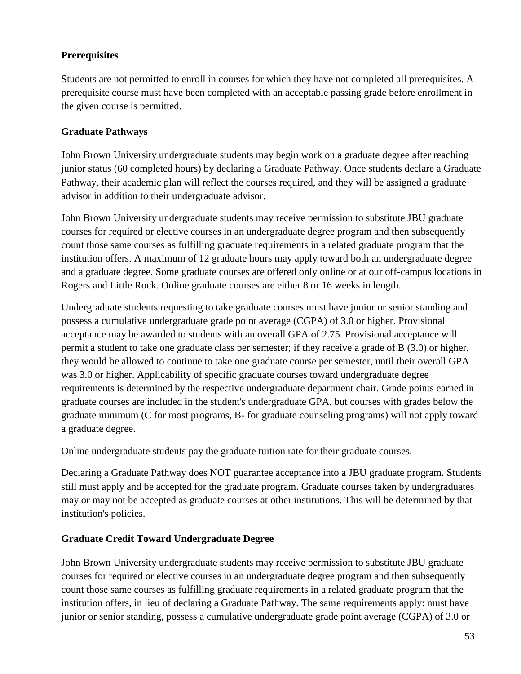#### **Prerequisites**

Students are not permitted to enroll in courses for which they have not completed all prerequisites. A prerequisite course must have been completed with an acceptable passing grade before enrollment in the given course is permitted.

#### **Graduate Pathways**

John Brown University undergraduate students may begin work on a graduate degree after reaching junior status (60 completed hours) by declaring a Graduate Pathway. Once students declare a Graduate Pathway, their academic plan will reflect the courses required, and they will be assigned a graduate advisor in addition to their undergraduate advisor.

John Brown University undergraduate students may receive permission to substitute JBU graduate courses for required or elective courses in an undergraduate degree program and then subsequently count those same courses as fulfilling graduate requirements in a related graduate program that the institution offers. A maximum of 12 graduate hours may apply toward both an undergraduate degree and a graduate degree. Some graduate courses are offered only online or at our off-campus locations in Rogers and Little Rock. Online graduate courses are either 8 or 16 weeks in length.

Undergraduate students requesting to take graduate courses must have junior or senior standing and possess a cumulative undergraduate grade point average (CGPA) of 3.0 or higher. Provisional acceptance may be awarded to students with an overall GPA of 2.75. Provisional acceptance will permit a student to take one graduate class per semester; if they receive a grade of B (3.0) or higher, they would be allowed to continue to take one graduate course per semester, until their overall GPA was 3.0 or higher. Applicability of specific graduate courses toward undergraduate degree requirements is determined by the respective undergraduate department chair. Grade points earned in graduate courses are included in the student's undergraduate GPA, but courses with grades below the graduate minimum (C for most programs, B- for graduate counseling programs) will not apply toward a graduate degree.

Online undergraduate students pay the graduate tuition rate for their graduate courses.

Declaring a Graduate Pathway does NOT guarantee acceptance into a JBU graduate program. Students still must apply and be accepted for the graduate program. Graduate courses taken by undergraduates may or may not be accepted as graduate courses at other institutions. This will be determined by that institution's policies.

#### **Graduate Credit Toward Undergraduate Degree**

John Brown University undergraduate students may receive permission to substitute JBU graduate courses for required or elective courses in an undergraduate degree program and then subsequently count those same courses as fulfilling graduate requirements in a related graduate program that the institution offers, in lieu of declaring a Graduate Pathway. The same requirements apply: must have junior or senior standing, possess a cumulative undergraduate grade point average (CGPA) of 3.0 or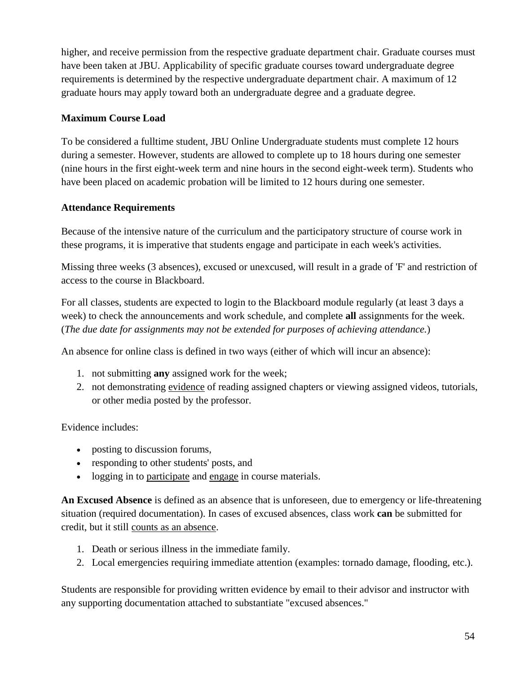higher, and receive permission from the respective graduate department chair. Graduate courses must have been taken at JBU. Applicability of specific graduate courses toward undergraduate degree requirements is determined by the respective undergraduate department chair. A maximum of 12 graduate hours may apply toward both an undergraduate degree and a graduate degree.

#### **Maximum Course Load**

To be considered a fulltime student, JBU Online Undergraduate students must complete 12 hours during a semester. However, students are allowed to complete up to 18 hours during one semester (nine hours in the first eight-week term and nine hours in the second eight-week term). Students who have been placed on academic probation will be limited to 12 hours during one semester.

#### **Attendance Requirements**

Because of the intensive nature of the curriculum and the participatory structure of course work in these programs, it is imperative that students engage and participate in each week's activities.

Missing three weeks (3 absences), excused or unexcused, will result in a grade of 'F' and restriction of access to the course in Blackboard.

For all classes, students are expected to login to the Blackboard module regularly (at least 3 days a week) to check the announcements and work schedule, and complete **all** assignments for the week. (*The due date for assignments may not be extended for purposes of achieving attendance.*)

An absence for online class is defined in two ways (either of which will incur an absence):

- 1. not submitting **any** assigned work for the week;
- 2. not demonstrating evidence of reading assigned chapters or viewing assigned videos, tutorials, or other media posted by the professor.

Evidence includes:

- posting to discussion forums,
- responding to other students' posts, and
- logging in to participate and engage in course materials.

**An Excused Absence** is defined as an absence that is unforeseen, due to emergency or life-threatening situation (required documentation). In cases of excused absences, class work **can** be submitted for credit, but it still counts as an absence.

- 1. Death or serious illness in the immediate family.
- 2. Local emergencies requiring immediate attention (examples: tornado damage, flooding, etc.).

Students are responsible for providing written evidence by email to their advisor and instructor with any supporting documentation attached to substantiate "excused absences."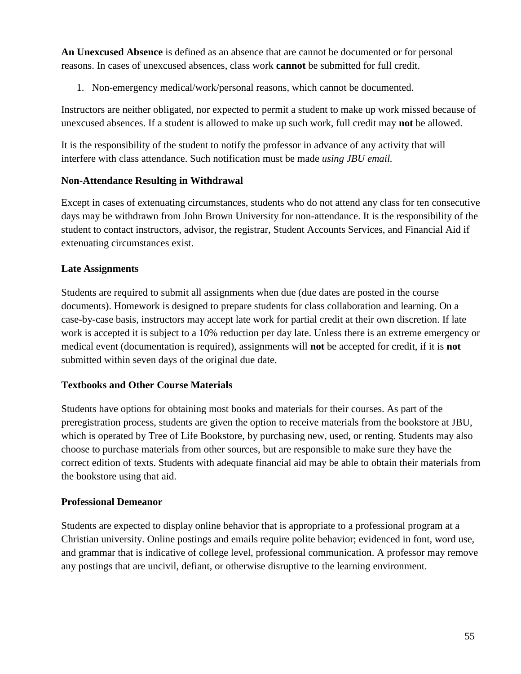**An Unexcused Absence** is defined as an absence that are cannot be documented or for personal reasons. In cases of unexcused absences, class work **cannot** be submitted for full credit.

1. Non-emergency medical/work/personal reasons, which cannot be documented.

Instructors are neither obligated, nor expected to permit a student to make up work missed because of unexcused absences. If a student is allowed to make up such work, full credit may **not** be allowed.

It is the responsibility of the student to notify the professor in advance of any activity that will interfere with class attendance. Such notification must be made *using JBU email.*

#### **Non-Attendance Resulting in Withdrawal**

Except in cases of extenuating circumstances, students who do not attend any class for ten consecutive days may be withdrawn from John Brown University for non-attendance. It is the responsibility of the student to contact instructors, advisor, the registrar, Student Accounts Services, and Financial Aid if extenuating circumstances exist.

#### **Late Assignments**

Students are required to submit all assignments when due (due dates are posted in the course documents). Homework is designed to prepare students for class collaboration and learning. On a case-by-case basis, instructors may accept late work for partial credit at their own discretion. If late work is accepted it is subject to a 10% reduction per day late. Unless there is an extreme emergency or medical event (documentation is required), assignments will **not** be accepted for credit, if it is **not** submitted within seven days of the original due date.

#### **Textbooks and Other Course Materials**

Students have options for obtaining most books and materials for their courses. As part of the preregistration process, students are given the option to receive materials from the bookstore at JBU, which is operated by Tree of Life Bookstore, by purchasing new, used, or renting. Students may also choose to purchase materials from other sources, but are responsible to make sure they have the correct edition of texts. Students with adequate financial aid may be able to obtain their materials from the bookstore using that aid.

#### **Professional Demeanor**

Students are expected to display online behavior that is appropriate to a professional program at a Christian university. Online postings and emails require polite behavior; evidenced in font, word use, and grammar that is indicative of college level, professional communication. A professor may remove any postings that are uncivil, defiant, or otherwise disruptive to the learning environment.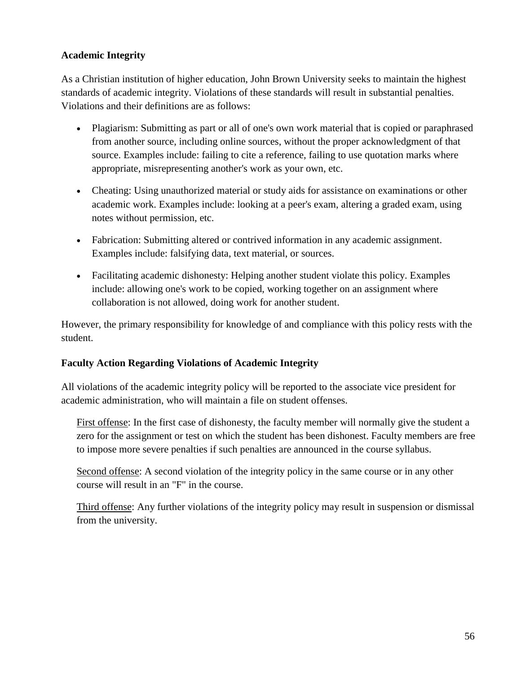#### **Academic Integrity**

As a Christian institution of higher education, John Brown University seeks to maintain the highest standards of academic integrity. Violations of these standards will result in substantial penalties. Violations and their definitions are as follows:

- Plagiarism: Submitting as part or all of one's own work material that is copied or paraphrased from another source, including online sources, without the proper acknowledgment of that source. Examples include: failing to cite a reference, failing to use quotation marks where appropriate, misrepresenting another's work as your own, etc.
- Cheating: Using unauthorized material or study aids for assistance on examinations or other academic work. Examples include: looking at a peer's exam, altering a graded exam, using notes without permission, etc.
- Fabrication: Submitting altered or contrived information in any academic assignment. Examples include: falsifying data, text material, or sources.
- Facilitating academic dishonesty: Helping another student violate this policy. Examples include: allowing one's work to be copied, working together on an assignment where collaboration is not allowed, doing work for another student.

However, the primary responsibility for knowledge of and compliance with this policy rests with the student.

#### **Faculty Action Regarding Violations of Academic Integrity**

All violations of the academic integrity policy will be reported to the associate vice president for academic administration, who will maintain a file on student offenses.

First offense: In the first case of dishonesty, the faculty member will normally give the student a zero for the assignment or test on which the student has been dishonest. Faculty members are free to impose more severe penalties if such penalties are announced in the course syllabus.

Second offense: A second violation of the integrity policy in the same course or in any other course will result in an "F" in the course.

Third offense: Any further violations of the integrity policy may result in suspension or dismissal from the university.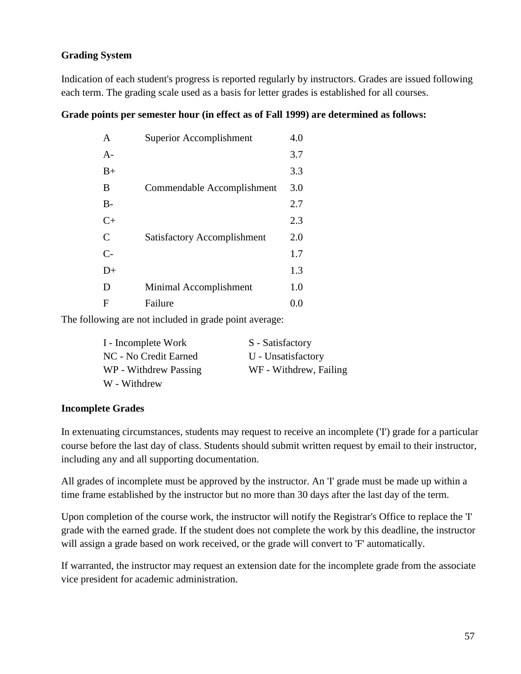#### **Grading System**

Indication of each student's progress is reported regularly by instructors. Grades are issued following each term. The grading scale used as a basis for letter grades is established for all courses.

#### **Grade points per semester hour (in effect as of Fall 1999) are determined as follows:**

| $\mathsf{A}$  | Superior Accomplishment            | 4.0 |
|---------------|------------------------------------|-----|
| $A -$         |                                    | 3.7 |
| $B+$          |                                    | 3.3 |
| B             | Commendable Accomplishment         | 3.0 |
| $B-$          |                                    | 2.7 |
| $C+$          |                                    | 2.3 |
| $\mathcal{C}$ | <b>Satisfactory Accomplishment</b> | 2.0 |
| $C-$          |                                    | 1.7 |
| $D+$          |                                    | 1.3 |
| D             | Minimal Accomplishment             | 1.0 |
| F             | Failure                            | 0.0 |

The following are not included in grade point average:

| I - Incomplete Work   | S - Satisfactory       |
|-----------------------|------------------------|
| NC - No Credit Earned | U - Unsatisfactory     |
| WP - Withdrew Passing | WF - Withdrew, Failing |
| W - Withdrew          |                        |

#### **Incomplete Grades**

In extenuating circumstances, students may request to receive an incomplete ('I') grade for a particular course before the last day of class. Students should submit written request by email to their instructor, including any and all supporting documentation.

All grades of incomplete must be approved by the instructor. An 'I' grade must be made up within a time frame established by the instructor but no more than 30 days after the last day of the term.

Upon completion of the course work, the instructor will notify the Registrar's Office to replace the 'I' grade with the earned grade. If the student does not complete the work by this deadline, the instructor will assign a grade based on work received, or the grade will convert to 'F' automatically.

If warranted, the instructor may request an extension date for the incomplete grade from the associate vice president for academic administration.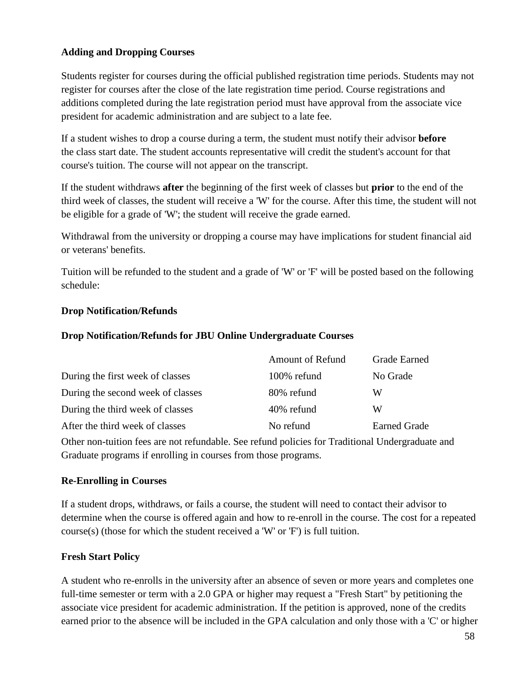#### **Adding and Dropping Courses**

Students register for courses during the official published registration time periods. Students may not register for courses after the close of the late registration time period. Course registrations and additions completed during the late registration period must have approval from the associate vice president for academic administration and are subject to a late fee.

If a student wishes to drop a course during a term, the student must notify their advisor **before** the class start date. The student accounts representative will credit the student's account for that course's tuition. The course will not appear on the transcript.

If the student withdraws **after** the beginning of the first week of classes but **prior** to the end of the third week of classes, the student will receive a 'W' for the course. After this time, the student will not be eligible for a grade of 'W'; the student will receive the grade earned.

Withdrawal from the university or dropping a course may have implications for student financial aid or veterans' benefits.

Tuition will be refunded to the student and a grade of 'W' or 'F' will be posted based on the following schedule:

#### **Drop Notification/Refunds**

#### **Drop Notification/Refunds for JBU Online Undergraduate Courses**

| Amount of Refund | <b>Grade Earned</b> |
|------------------|---------------------|
| 100% refund      | No Grade            |
| 80% refund       | W                   |
| 40% refund       | W                   |
| No refund        | <b>Earned Grade</b> |
|                  |                     |

Other non-tuition fees are not refundable. See refund policies for Traditional Undergraduate and Graduate programs if enrolling in courses from those programs.

#### **Re-Enrolling in Courses**

If a student drops, withdraws, or fails a course, the student will need to contact their advisor to determine when the course is offered again and how to re-enroll in the course. The cost for a repeated course(s) (those for which the student received a 'W' or 'F') is full tuition.

#### **Fresh Start Policy**

A student who re-enrolls in the university after an absence of seven or more years and completes one full-time semester or term with a 2.0 GPA or higher may request a "Fresh Start" by petitioning the associate vice president for academic administration. If the petition is approved, none of the credits earned prior to the absence will be included in the GPA calculation and only those with a 'C' or higher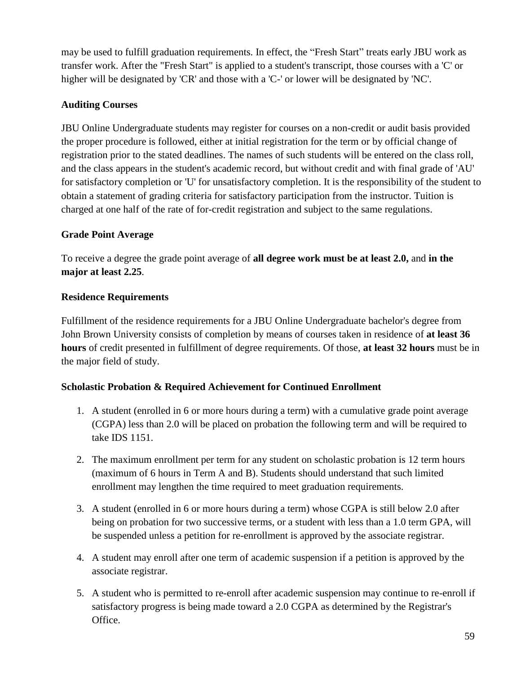may be used to fulfill graduation requirements. In effect, the "Fresh Start" treats early JBU work as transfer work. After the "Fresh Start" is applied to a student's transcript, those courses with a 'C' or higher will be designated by 'CR' and those with a 'C-' or lower will be designated by 'NC'.

#### **Auditing Courses**

JBU Online Undergraduate students may register for courses on a non-credit or audit basis provided the proper procedure is followed, either at initial registration for the term or by official change of registration prior to the stated deadlines. The names of such students will be entered on the class roll, and the class appears in the student's academic record, but without credit and with final grade of 'AU' for satisfactory completion or 'U' for unsatisfactory completion. It is the responsibility of the student to obtain a statement of grading criteria for satisfactory participation from the instructor. Tuition is charged at one half of the rate of for-credit registration and subject to the same regulations.

#### **Grade Point Average**

To receive a degree the grade point average of **all degree work must be at least 2.0,** and **in the major at least 2.25**.

#### **Residence Requirements**

Fulfillment of the residence requirements for a JBU Online Undergraduate bachelor's degree from John Brown University consists of completion by means of courses taken in residence of **at least 36 hours** of credit presented in fulfillment of degree requirements. Of those, **at least 32 hours** must be in the major field of study.

#### **Scholastic Probation & Required Achievement for Continued Enrollment**

- 1. A student (enrolled in 6 or more hours during a term) with a cumulative grade point average (CGPA) less than 2.0 will be placed on probation the following term and will be required to take IDS 1151.
- 2. The maximum enrollment per term for any student on scholastic probation is 12 term hours (maximum of 6 hours in Term A and B). Students should understand that such limited enrollment may lengthen the time required to meet graduation requirements.
- 3. A student (enrolled in 6 or more hours during a term) whose CGPA is still below 2.0 after being on probation for two successive terms, or a student with less than a 1.0 term GPA, will be suspended unless a petition for re-enrollment is approved by the associate registrar.
- 4. A student may enroll after one term of academic suspension if a petition is approved by the associate registrar.
- 5. A student who is permitted to re-enroll after academic suspension may continue to re-enroll if satisfactory progress is being made toward a 2.0 CGPA as determined by the Registrar's Office.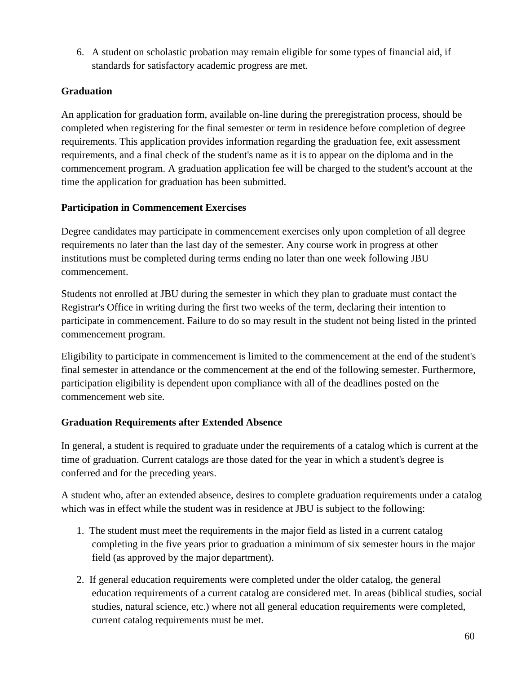6. A student on scholastic probation may remain eligible for some types of financial aid, if standards for satisfactory academic progress are met.

#### **Graduation**

An application for graduation form, available on-line during the preregistration process, should be completed when registering for the final semester or term in residence before completion of degree requirements. This application provides information regarding the graduation fee, exit assessment requirements, and a final check of the student's name as it is to appear on the diploma and in the commencement program. A graduation application fee will be charged to the student's account at the time the application for graduation has been submitted.

#### **Participation in Commencement Exercises**

Degree candidates may participate in commencement exercises only upon completion of all degree requirements no later than the last day of the semester. Any course work in progress at other institutions must be completed during terms ending no later than one week following JBU commencement.

Students not enrolled at JBU during the semester in which they plan to graduate must contact the Registrar's Office in writing during the first two weeks of the term, declaring their intention to participate in commencement. Failure to do so may result in the student not being listed in the printed commencement program.

Eligibility to participate in commencement is limited to the commencement at the end of the student's final semester in attendance or the commencement at the end of the following semester. Furthermore, participation eligibility is dependent upon compliance with all of the deadlines posted on the commencement web site.

#### **Graduation Requirements after Extended Absence**

In general, a student is required to graduate under the requirements of a catalog which is current at the time of graduation. Current catalogs are those dated for the year in which a student's degree is conferred and for the preceding years.

A student who, after an extended absence, desires to complete graduation requirements under a catalog which was in effect while the student was in residence at JBU is subject to the following:

- 1. The student must meet the requirements in the major field as listed in a current catalog completing in the five years prior to graduation a minimum of six semester hours in the major field (as approved by the major department).
- 2. If general education requirements were completed under the older catalog, the general education requirements of a current catalog are considered met. In areas (biblical studies, social studies, natural science, etc.) where not all general education requirements were completed, current catalog requirements must be met.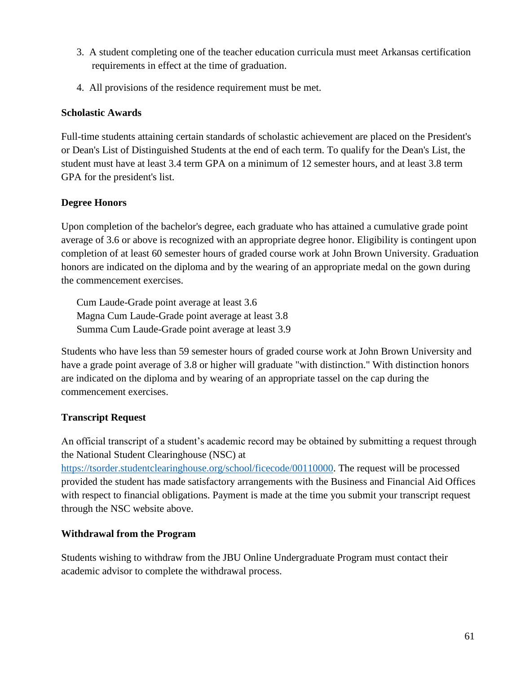- 3. A student completing one of the teacher education curricula must meet Arkansas certification requirements in effect at the time of graduation.
- 4. All provisions of the residence requirement must be met.

#### **Scholastic Awards**

Full-time students attaining certain standards of scholastic achievement are placed on the President's or Dean's List of Distinguished Students at the end of each term. To qualify for the Dean's List, the student must have at least 3.4 term GPA on a minimum of 12 semester hours, and at least 3.8 term GPA for the president's list.

#### **Degree Honors**

Upon completion of the bachelor's degree, each graduate who has attained a cumulative grade point average of 3.6 or above is recognized with an appropriate degree honor. Eligibility is contingent upon completion of at least 60 semester hours of graded course work at John Brown University. Graduation honors are indicated on the diploma and by the wearing of an appropriate medal on the gown during the commencement exercises.

Cum Laude-Grade point average at least 3.6 Magna Cum Laude-Grade point average at least 3.8 Summa Cum Laude-Grade point average at least 3.9

Students who have less than 59 semester hours of graded course work at John Brown University and have a grade point average of 3.8 or higher will graduate "with distinction." With distinction honors are indicated on the diploma and by wearing of an appropriate tassel on the cap during the commencement exercises.

#### **Transcript Request**

An official transcript of a student's academic record may be obtained by submitting a request through the National Student Clearinghouse (NSC) at

[https://tsorder.studentclearinghouse.org/school/ficecode/00110000.](https://tsorder.studentclearinghouse.org/school/ficecode/00110000) The request will be processed provided the student has made satisfactory arrangements with the Business and Financial Aid Offices with respect to financial obligations. Payment is made at the time you submit your transcript request through the NSC website above.

#### **Withdrawal from the Program**

Students wishing to withdraw from the JBU Online Undergraduate Program must contact their academic advisor to complete the withdrawal process.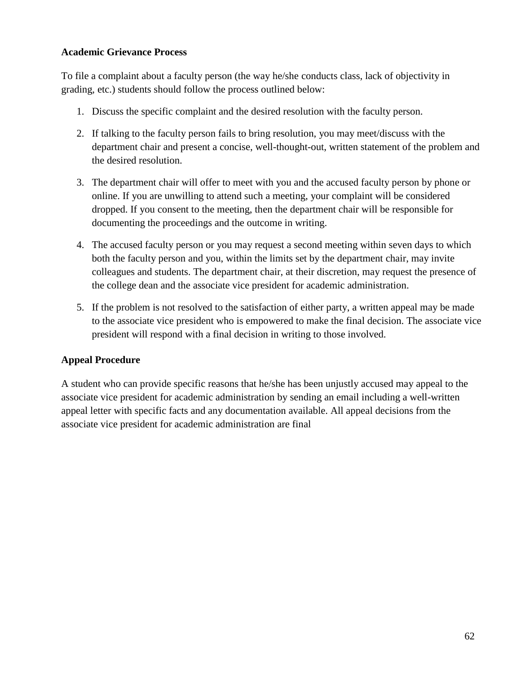#### **Academic Grievance Process**

To file a complaint about a faculty person (the way he/she conducts class, lack of objectivity in grading, etc.) students should follow the process outlined below:

- 1. Discuss the specific complaint and the desired resolution with the faculty person.
- 2. If talking to the faculty person fails to bring resolution, you may meet/discuss with the department chair and present a concise, well-thought-out, written statement of the problem and the desired resolution.
- 3. The department chair will offer to meet with you and the accused faculty person by phone or online. If you are unwilling to attend such a meeting, your complaint will be considered dropped. If you consent to the meeting, then the department chair will be responsible for documenting the proceedings and the outcome in writing.
- 4. The accused faculty person or you may request a second meeting within seven days to which both the faculty person and you, within the limits set by the department chair, may invite colleagues and students. The department chair, at their discretion, may request the presence of the college dean and the associate vice president for academic administration.
- 5. If the problem is not resolved to the satisfaction of either party, a written appeal may be made to the associate vice president who is empowered to make the final decision. The associate vice president will respond with a final decision in writing to those involved.

#### **Appeal Procedure**

A student who can provide specific reasons that he/she has been unjustly accused may appeal to the associate vice president for academic administration by sending an email including a well-written appeal letter with specific facts and any documentation available. All appeal decisions from the associate vice president for academic administration are final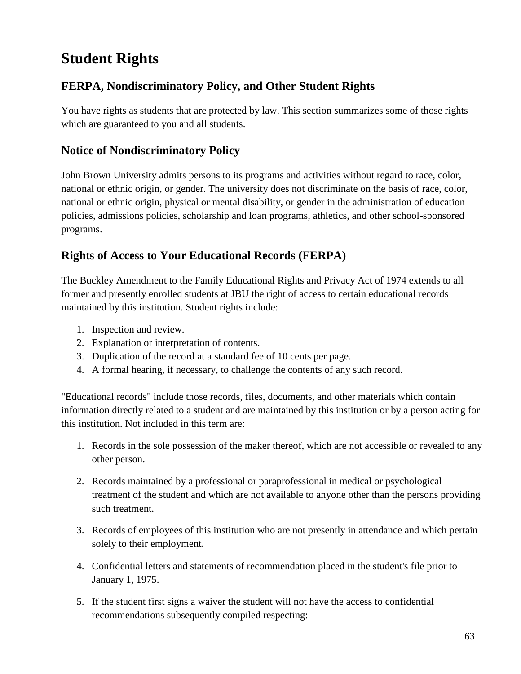# **Student Rights**

# **FERPA, Nondiscriminatory Policy, and Other Student Rights**

You have rights as students that are protected by law. This section summarizes some of those rights which are guaranteed to you and all students.

# **Notice of Nondiscriminatory Policy**

John Brown University admits persons to its programs and activities without regard to race, color, national or ethnic origin, or gender. The university does not discriminate on the basis of race, color, national or ethnic origin, physical or mental disability, or gender in the administration of education policies, admissions policies, scholarship and loan programs, athletics, and other school-sponsored programs.

# **Rights of Access to Your Educational Records (FERPA)**

The Buckley Amendment to the Family Educational Rights and Privacy Act of 1974 extends to all former and presently enrolled students at JBU the right of access to certain educational records maintained by this institution. Student rights include:

- 1. Inspection and review.
- 2. Explanation or interpretation of contents.
- 3. Duplication of the record at a standard fee of 10 cents per page.
- 4. A formal hearing, if necessary, to challenge the contents of any such record.

"Educational records" include those records, files, documents, and other materials which contain information directly related to a student and are maintained by this institution or by a person acting for this institution. Not included in this term are:

- 1. Records in the sole possession of the maker thereof, which are not accessible or revealed to any other person.
- 2. Records maintained by a professional or paraprofessional in medical or psychological treatment of the student and which are not available to anyone other than the persons providing such treatment.
- 3. Records of employees of this institution who are not presently in attendance and which pertain solely to their employment.
- 4. Confidential letters and statements of recommendation placed in the student's file prior to January 1, 1975.
- 5. If the student first signs a waiver the student will not have the access to confidential recommendations subsequently compiled respecting: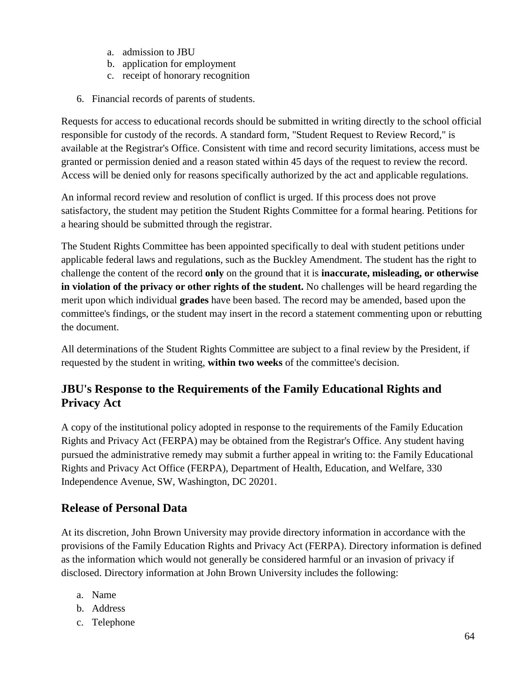- a. admission to JBU
- b. application for employment
- c. receipt of honorary recognition
- 6. Financial records of parents of students.

Requests for access to educational records should be submitted in writing directly to the school official responsible for custody of the records. A standard form, "Student Request to Review Record," is available at the Registrar's Office. Consistent with time and record security limitations, access must be granted or permission denied and a reason stated within 45 days of the request to review the record. Access will be denied only for reasons specifically authorized by the act and applicable regulations.

An informal record review and resolution of conflict is urged. If this process does not prove satisfactory, the student may petition the Student Rights Committee for a formal hearing. Petitions for a hearing should be submitted through the registrar.

The Student Rights Committee has been appointed specifically to deal with student petitions under applicable federal laws and regulations, such as the Buckley Amendment. The student has the right to challenge the content of the record **only** on the ground that it is **inaccurate, misleading, or otherwise in violation of the privacy or other rights of the student.** No challenges will be heard regarding the merit upon which individual **grades** have been based. The record may be amended, based upon the committee's findings, or the student may insert in the record a statement commenting upon or rebutting the document.

All determinations of the Student Rights Committee are subject to a final review by the President, if requested by the student in writing, **within two weeks** of the committee's decision.

# **JBU's Response to the Requirements of the Family Educational Rights and Privacy Act**

A copy of the institutional policy adopted in response to the requirements of the Family Education Rights and Privacy Act (FERPA) may be obtained from the Registrar's Office. Any student having pursued the administrative remedy may submit a further appeal in writing to: the Family Educational Rights and Privacy Act Office (FERPA), Department of Health, Education, and Welfare, 330 Independence Avenue, SW, Washington, DC 20201.

#### **Release of Personal Data**

At its discretion, John Brown University may provide directory information in accordance with the provisions of the Family Education Rights and Privacy Act (FERPA). Directory information is defined as the information which would not generally be considered harmful or an invasion of privacy if disclosed. Directory information at John Brown University includes the following:

- a. Name
- b. Address
- c. Telephone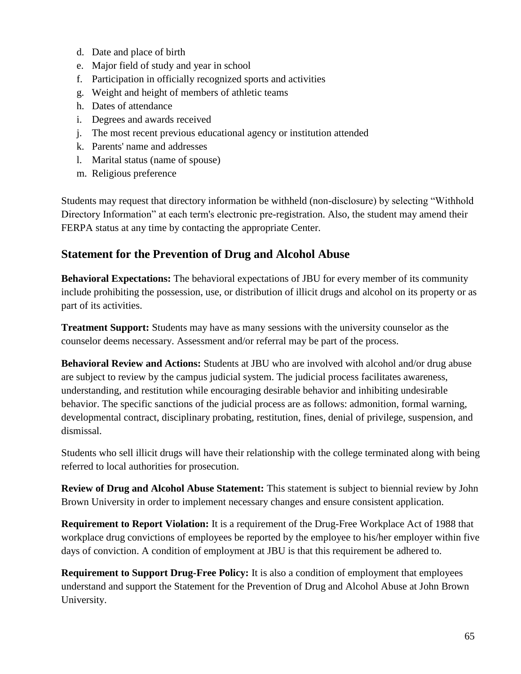- d. Date and place of birth
- e. Major field of study and year in school
- f. Participation in officially recognized sports and activities
- g. Weight and height of members of athletic teams
- h. Dates of attendance
- i. Degrees and awards received
- j. The most recent previous educational agency or institution attended
- k. Parents' name and addresses
- l. Marital status (name of spouse)
- m. Religious preference

Students may request that directory information be withheld (non-disclosure) by selecting "Withhold Directory Information" at each term's electronic pre-registration. Also, the student may amend their FERPA status at any time by contacting the appropriate Center.

## **Statement for the Prevention of Drug and Alcohol Abuse**

**Behavioral Expectations:** The behavioral expectations of JBU for every member of its community include prohibiting the possession, use, or distribution of illicit drugs and alcohol on its property or as part of its activities.

**Treatment Support:** Students may have as many sessions with the university counselor as the counselor deems necessary. Assessment and/or referral may be part of the process.

**Behavioral Review and Actions:** Students at JBU who are involved with alcohol and/or drug abuse are subject to review by the campus judicial system. The judicial process facilitates awareness, understanding, and restitution while encouraging desirable behavior and inhibiting undesirable behavior. The specific sanctions of the judicial process are as follows: admonition, formal warning, developmental contract, disciplinary probating, restitution, fines, denial of privilege, suspension, and dismissal.

Students who sell illicit drugs will have their relationship with the college terminated along with being referred to local authorities for prosecution.

**Review of Drug and Alcohol Abuse Statement:** This statement is subject to biennial review by John Brown University in order to implement necessary changes and ensure consistent application.

**Requirement to Report Violation:** It is a requirement of the Drug-Free Workplace Act of 1988 that workplace drug convictions of employees be reported by the employee to his/her employer within five days of conviction. A condition of employment at JBU is that this requirement be adhered to.

**Requirement to Support Drug-Free Policy:** It is also a condition of employment that employees understand and support the Statement for the Prevention of Drug and Alcohol Abuse at John Brown University.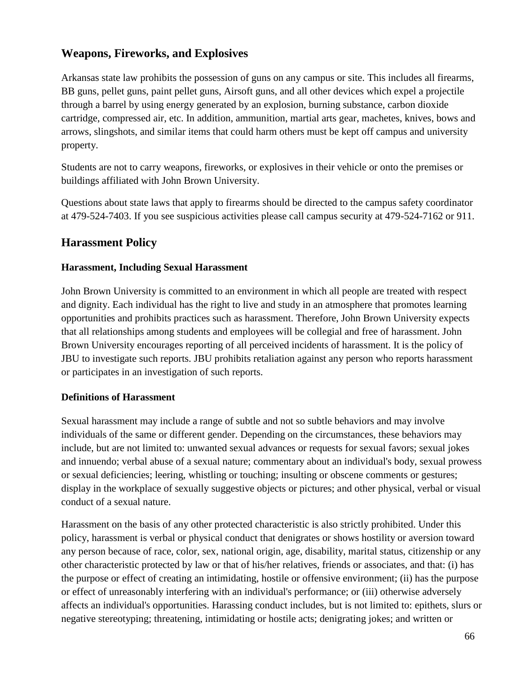# **Weapons, Fireworks, and Explosives**

Arkansas state law prohibits the possession of guns on any campus or site. This includes all firearms, BB guns, pellet guns, paint pellet guns, Airsoft guns, and all other devices which expel a projectile through a barrel by using energy generated by an explosion, burning substance, carbon dioxide cartridge, compressed air, etc. In addition, ammunition, martial arts gear, machetes, knives, bows and arrows, slingshots, and similar items that could harm others must be kept off campus and university property.

Students are not to carry weapons, fireworks, or explosives in their vehicle or onto the premises or buildings affiliated with John Brown University.

Questions about state laws that apply to firearms should be directed to the campus safety coordinator at 479-524-7403. If you see suspicious activities please call campus security at 479-524-7162 or 911.

# **Harassment Policy**

#### **Harassment, Including Sexual Harassment**

John Brown University is committed to an environment in which all people are treated with respect and dignity. Each individual has the right to live and study in an atmosphere that promotes learning opportunities and prohibits practices such as harassment. Therefore, John Brown University expects that all relationships among students and employees will be collegial and free of harassment. John Brown University encourages reporting of all perceived incidents of harassment. It is the policy of JBU to investigate such reports. JBU prohibits retaliation against any person who reports harassment or participates in an investigation of such reports.

#### **Definitions of Harassment**

Sexual harassment may include a range of subtle and not so subtle behaviors and may involve individuals of the same or different gender. Depending on the circumstances, these behaviors may include, but are not limited to: unwanted sexual advances or requests for sexual favors; sexual jokes and innuendo; verbal abuse of a sexual nature; commentary about an individual's body, sexual prowess or sexual deficiencies; leering, whistling or touching; insulting or obscene comments or gestures; display in the workplace of sexually suggestive objects or pictures; and other physical, verbal or visual conduct of a sexual nature.

Harassment on the basis of any other protected characteristic is also strictly prohibited. Under this policy, harassment is verbal or physical conduct that denigrates or shows hostility or aversion toward any person because of race, color, sex, national origin, age, disability, marital status, citizenship or any other characteristic protected by law or that of his/her relatives, friends or associates, and that: (i) has the purpose or effect of creating an intimidating, hostile or offensive environment; (ii) has the purpose or effect of unreasonably interfering with an individual's performance; or (iii) otherwise adversely affects an individual's opportunities. Harassing conduct includes, but is not limited to: epithets, slurs or negative stereotyping; threatening, intimidating or hostile acts; denigrating jokes; and written or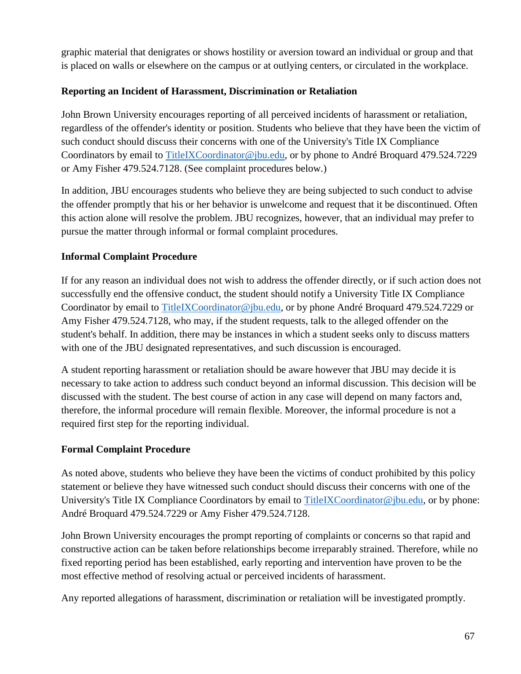graphic material that denigrates or shows hostility or aversion toward an individual or group and that is placed on walls or elsewhere on the campus or at outlying centers, or circulated in the workplace.

#### **Reporting an Incident of Harassment, Discrimination or Retaliation**

John Brown University encourages reporting of all perceived incidents of harassment or retaliation, regardless of the offender's identity or position. Students who believe that they have been the victim of such conduct should discuss their concerns with one of the University's Title IX Compliance Coordinators by email to [TitleIXCoordinator@jbu.edu,](mailto:TitleIXCoordinator@jbu.edu) or by phone to André Broquard 479.524.7229 or Amy Fisher 479.524.7128. (See complaint procedures below.)

In addition, JBU encourages students who believe they are being subjected to such conduct to advise the offender promptly that his or her behavior is unwelcome and request that it be discontinued. Often this action alone will resolve the problem. JBU recognizes, however, that an individual may prefer to pursue the matter through informal or formal complaint procedures.

#### **Informal Complaint Procedure**

If for any reason an individual does not wish to address the offender directly, or if such action does not successfully end the offensive conduct, the student should notify a University Title IX Compliance Coordinator by email to [TitleIXCoordinator@jbu.edu,](mailto:TitleIXCoordinator@jbu.edu) or by phone André Broquard 479.524.7229 or Amy Fisher 479.524.7128, who may, if the student requests, talk to the alleged offender on the student's behalf. In addition, there may be instances in which a student seeks only to discuss matters with one of the JBU designated representatives, and such discussion is encouraged.

A student reporting harassment or retaliation should be aware however that JBU may decide it is necessary to take action to address such conduct beyond an informal discussion. This decision will be discussed with the student. The best course of action in any case will depend on many factors and, therefore, the informal procedure will remain flexible. Moreover, the informal procedure is not a required first step for the reporting individual.

#### **Formal Complaint Procedure**

As noted above, students who believe they have been the victims of conduct prohibited by this policy statement or believe they have witnessed such conduct should discuss their concerns with one of the University's Title IX Compliance Coordinators by email to [TitleIXCoordinator@jbu.edu,](mailto:TitleIXCoordinator@jbu.edu) or by phone: André Broquard 479.524.7229 or Amy Fisher 479.524.7128.

John Brown University encourages the prompt reporting of complaints or concerns so that rapid and constructive action can be taken before relationships become irreparably strained. Therefore, while no fixed reporting period has been established, early reporting and intervention have proven to be the most effective method of resolving actual or perceived incidents of harassment.

Any reported allegations of harassment, discrimination or retaliation will be investigated promptly.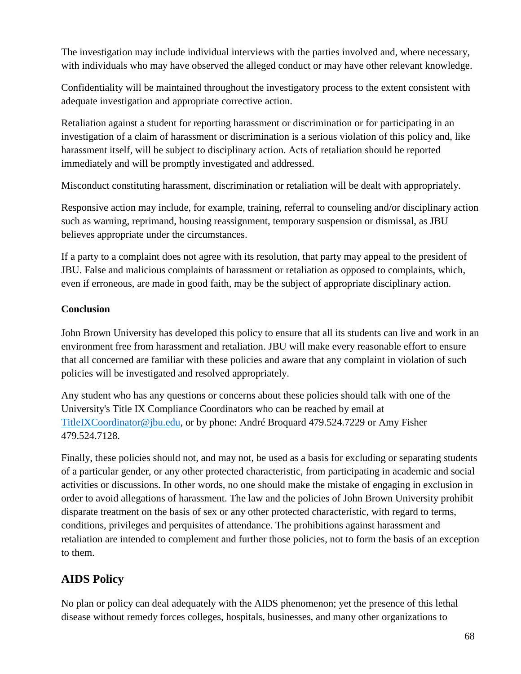The investigation may include individual interviews with the parties involved and, where necessary, with individuals who may have observed the alleged conduct or may have other relevant knowledge.

Confidentiality will be maintained throughout the investigatory process to the extent consistent with adequate investigation and appropriate corrective action.

Retaliation against a student for reporting harassment or discrimination or for participating in an investigation of a claim of harassment or discrimination is a serious violation of this policy and, like harassment itself, will be subject to disciplinary action. Acts of retaliation should be reported immediately and will be promptly investigated and addressed.

Misconduct constituting harassment, discrimination or retaliation will be dealt with appropriately.

Responsive action may include, for example, training, referral to counseling and/or disciplinary action such as warning, reprimand, housing reassignment, temporary suspension or dismissal, as JBU believes appropriate under the circumstances.

If a party to a complaint does not agree with its resolution, that party may appeal to the president of JBU. False and malicious complaints of harassment or retaliation as opposed to complaints, which, even if erroneous, are made in good faith, may be the subject of appropriate disciplinary action.

#### **Conclusion**

John Brown University has developed this policy to ensure that all its students can live and work in an environment free from harassment and retaliation. JBU will make every reasonable effort to ensure that all concerned are familiar with these policies and aware that any complaint in violation of such policies will be investigated and resolved appropriately.

Any student who has any questions or concerns about these policies should talk with one of the University's Title IX Compliance Coordinators who can be reached by email at [TitleIXCoordinator@jbu.edu,](mailto:TitleIXCoordinator@jbu.edu) or by phone: André Broquard 479.524.7229 or Amy Fisher 479.524.7128.

Finally, these policies should not, and may not, be used as a basis for excluding or separating students of a particular gender, or any other protected characteristic, from participating in academic and social activities or discussions. In other words, no one should make the mistake of engaging in exclusion in order to avoid allegations of harassment. The law and the policies of John Brown University prohibit disparate treatment on the basis of sex or any other protected characteristic, with regard to terms, conditions, privileges and perquisites of attendance. The prohibitions against harassment and retaliation are intended to complement and further those policies, not to form the basis of an exception to them.

# **AIDS Policy**

No plan or policy can deal adequately with the AIDS phenomenon; yet the presence of this lethal disease without remedy forces colleges, hospitals, businesses, and many other organizations to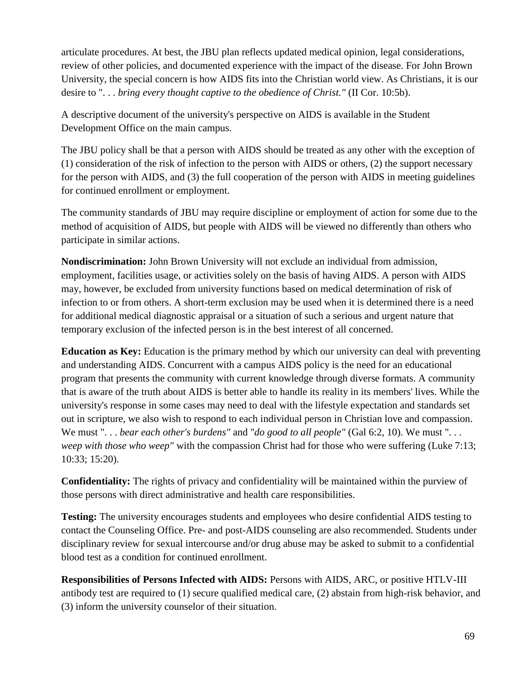articulate procedures. At best, the JBU plan reflects updated medical opinion, legal considerations, review of other policies, and documented experience with the impact of the disease. For John Brown University, the special concern is how AIDS fits into the Christian world view. As Christians, it is our desire to ". . . *bring every thought captive to the obedience of Christ."* (II Cor. 10:5b).

A descriptive document of the university's perspective on AIDS is available in the Student Development Office on the main campus.

The JBU policy shall be that a person with AIDS should be treated as any other with the exception of (1) consideration of the risk of infection to the person with AIDS or others, (2) the support necessary for the person with AIDS, and (3) the full cooperation of the person with AIDS in meeting guidelines for continued enrollment or employment.

The community standards of JBU may require discipline or employment of action for some due to the method of acquisition of AIDS, but people with AIDS will be viewed no differently than others who participate in similar actions.

**Nondiscrimination:** John Brown University will not exclude an individual from admission, employment, facilities usage, or activities solely on the basis of having AIDS. A person with AIDS may, however, be excluded from university functions based on medical determination of risk of infection to or from others. A short-term exclusion may be used when it is determined there is a need for additional medical diagnostic appraisal or a situation of such a serious and urgent nature that temporary exclusion of the infected person is in the best interest of all concerned.

**Education as Key:** Education is the primary method by which our university can deal with preventing and understanding AIDS. Concurrent with a campus AIDS policy is the need for an educational program that presents the community with current knowledge through diverse formats. A community that is aware of the truth about AIDS is better able to handle its reality in its members' lives. While the university's response in some cases may need to deal with the lifestyle expectation and standards set out in scripture, we also wish to respond to each individual person in Christian love and compassion. We must "... *bear each other's burdens"* and "*do good to all people"* (Gal 6:2, 10). We must "... *weep with those who weep*" with the compassion Christ had for those who were suffering (Luke 7:13; 10:33; 15:20).

**Confidentiality:** The rights of privacy and confidentiality will be maintained within the purview of those persons with direct administrative and health care responsibilities.

**Testing:** The university encourages students and employees who desire confidential AIDS testing to contact the Counseling Office. Pre- and post-AIDS counseling are also recommended. Students under disciplinary review for sexual intercourse and/or drug abuse may be asked to submit to a confidential blood test as a condition for continued enrollment.

**Responsibilities of Persons Infected with AIDS:** Persons with AIDS, ARC, or positive HTLV-III antibody test are required to (1) secure qualified medical care, (2) abstain from high-risk behavior, and (3) inform the university counselor of their situation.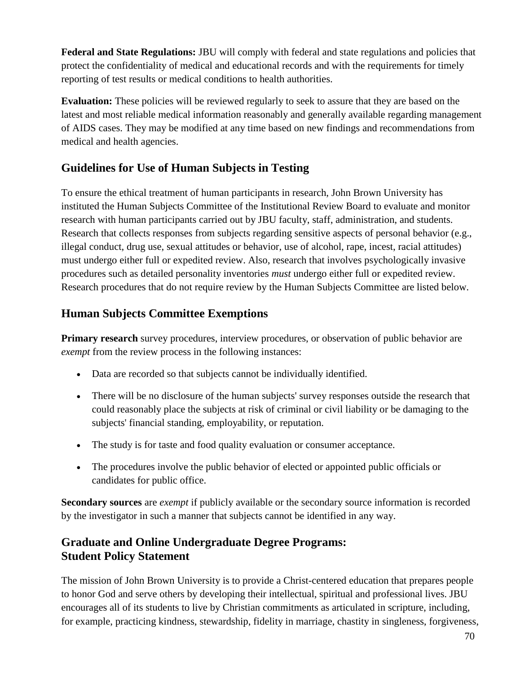**Federal and State Regulations:** JBU will comply with federal and state regulations and policies that protect the confidentiality of medical and educational records and with the requirements for timely reporting of test results or medical conditions to health authorities.

**Evaluation:** These policies will be reviewed regularly to seek to assure that they are based on the latest and most reliable medical information reasonably and generally available regarding management of AIDS cases. They may be modified at any time based on new findings and recommendations from medical and health agencies.

# **Guidelines for Use of Human Subjects in Testing**

To ensure the ethical treatment of human participants in research, John Brown University has instituted the Human Subjects Committee of the Institutional Review Board to evaluate and monitor research with human participants carried out by JBU faculty, staff, administration, and students. Research that collects responses from subjects regarding sensitive aspects of personal behavior (e.g., illegal conduct, drug use, sexual attitudes or behavior, use of alcohol, rape, incest, racial attitudes) must undergo either full or expedited review. Also, research that involves psychologically invasive procedures such as detailed personality inventories *must* undergo either full or expedited review. Research procedures that do not require review by the Human Subjects Committee are listed below.

## **Human Subjects Committee Exemptions**

**Primary research** survey procedures, interview procedures, or observation of public behavior are *exempt* from the review process in the following instances:

- Data are recorded so that subjects cannot be individually identified.
- There will be no disclosure of the human subjects' survey responses outside the research that could reasonably place the subjects at risk of criminal or civil liability or be damaging to the subjects' financial standing, employability, or reputation.
- The study is for taste and food quality evaluation or consumer acceptance.
- The procedures involve the public behavior of elected or appointed public officials or candidates for public office.

**Secondary sources** are *exempt* if publicly available or the secondary source information is recorded by the investigator in such a manner that subjects cannot be identified in any way.

## **Graduate and Online Undergraduate Degree Programs: Student Policy Statement**

The mission of John Brown University is to provide a Christ-centered education that prepares people to honor God and serve others by developing their intellectual, spiritual and professional lives. JBU encourages all of its students to live by Christian commitments as articulated in scripture, including, for example, practicing kindness, stewardship, fidelity in marriage, chastity in singleness, forgiveness,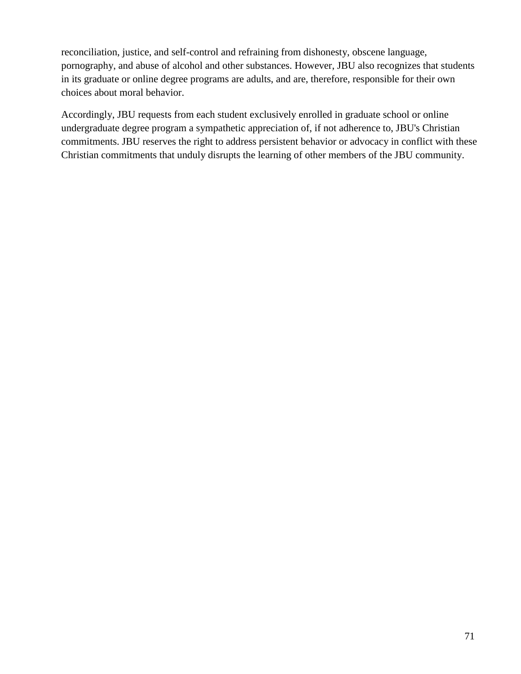reconciliation, justice, and self-control and refraining from dishonesty, obscene language, pornography, and abuse of alcohol and other substances. However, JBU also recognizes that students in its graduate or online degree programs are adults, and are, therefore, responsible for their own choices about moral behavior.

Accordingly, JBU requests from each student exclusively enrolled in graduate school or online undergraduate degree program a sympathetic appreciation of, if not adherence to, JBU's Christian commitments. JBU reserves the right to address persistent behavior or advocacy in conflict with these Christian commitments that unduly disrupts the learning of other members of the JBU community.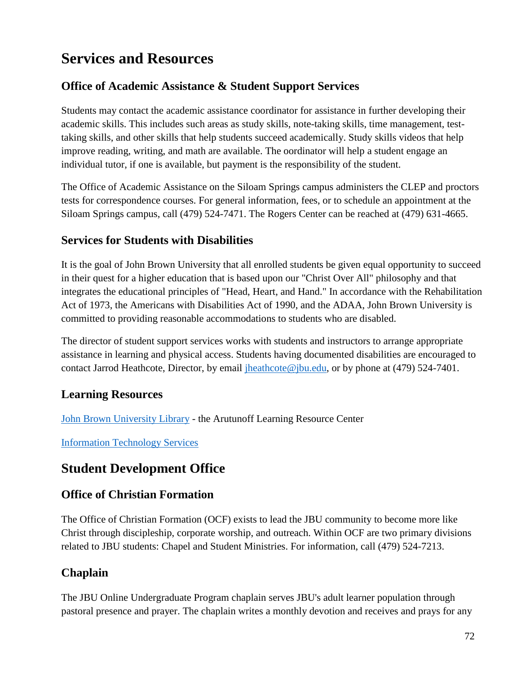# **Services and Resources**

# **Office of Academic Assistance & Student Support Services**

Students may contact the academic assistance coordinator for assistance in further developing their academic skills. This includes such areas as study skills, note-taking skills, time management, testtaking skills, and other skills that help students succeed academically. Study skills videos that help improve reading, writing, and math are available. The oordinator will help a student engage an individual tutor, if one is available, but payment is the responsibility of the student.

The Office of Academic Assistance on the Siloam Springs campus administers the CLEP and proctors tests for correspondence courses. For general information, fees, or to schedule an appointment at the Siloam Springs campus, call (479) 524-7471. The Rogers Center can be reached at (479) 631-4665.

## **Services for Students with Disabilities**

It is the goal of John Brown University that all enrolled students be given equal opportunity to succeed in their quest for a higher education that is based upon our "Christ Over All" philosophy and that integrates the educational principles of "Head, Heart, and Hand." In accordance with the Rehabilitation Act of 1973, the Americans with Disabilities Act of 1990, and the ADAA, John Brown University is committed to providing reasonable accommodations to students who are disabled.

The director of student support services works with students and instructors to arrange appropriate assistance in learning and physical access. Students having documented disabilities are encouraged to contact Jarrod Heathcote, Director, by email [jheathcote@jbu.edu,](mailto:jheathcote@jbu.edu) or by phone at (479) 524-7401.

# **Learning Resources**

[John Brown University Library](https://www.jbu.edu/Library/#gsc.tab=0) - the Arutunoff Learning Resource Center

[Information Technology Services](https://www.jbu.edu/technology-services/#gsc.tab=0)

# **Student Development Office**

## **Office of Christian Formation**

The Office of Christian Formation (OCF) exists to lead the JBU community to become more like Christ through discipleship, corporate worship, and outreach. Within OCF are two primary divisions related to JBU students: Chapel and Student Ministries. For information, call (479) 524-7213.

# **Chaplain**

The JBU Online Undergraduate Program chaplain serves JBU's adult learner population through pastoral presence and prayer. The chaplain writes a monthly devotion and receives and prays for any